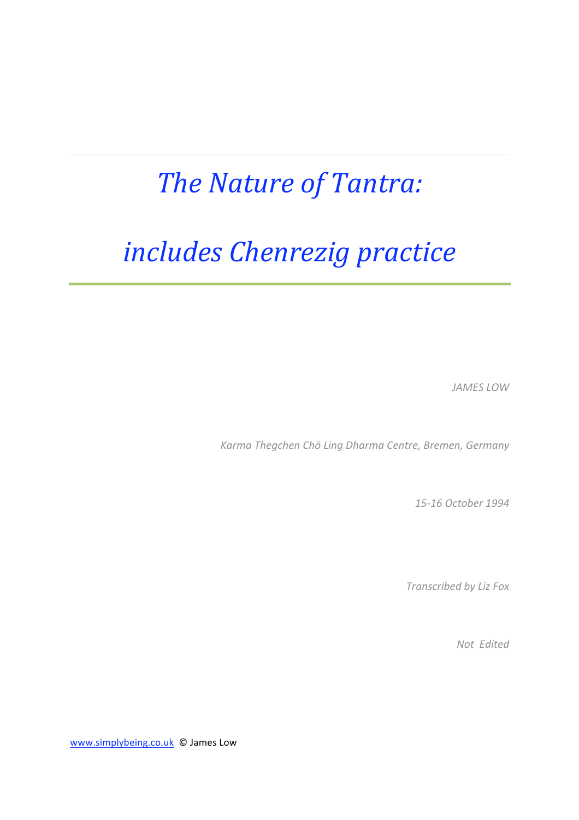## *The
Nature
of
Tantra:*

# *includes
Chenrezig
practice*

*JAMES
LOW*

*Karma
Thegchen
Chö
Ling
Dharma
Centre,
Bremen,
Germany*

*15‐16
October
1994*

*Transcribed
by
Liz
Fox*

*Not

Edited*

www.simplybeing.co.uk © James Low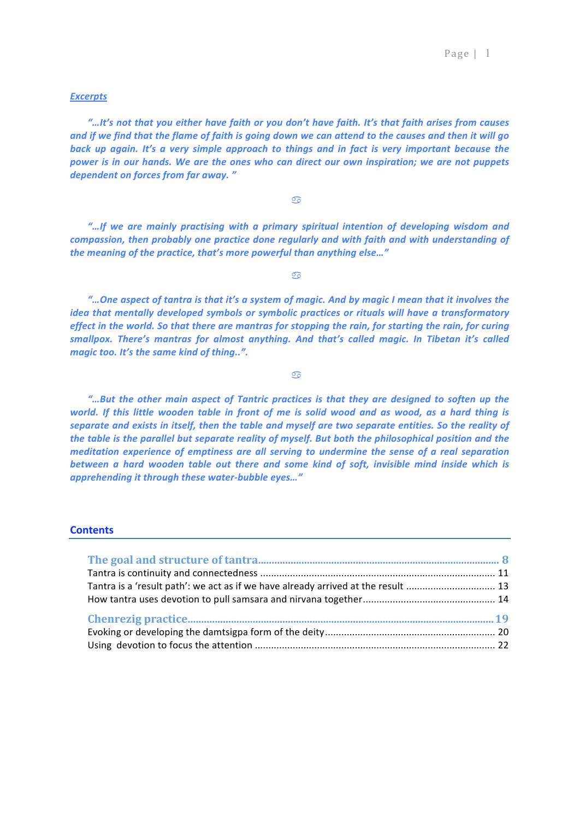## *Excerpts*

*"…It's
not
that
you
either
have
faith
or
you
don't
have
faith.
It's
that
faith
arises
from
causes*  and if we find that the flame of faith is going down we can attend to the causes and then it will go back up again. It's a very simple approach to things and in fact is very important because the power is in our hands. We are the ones who can direct our own inspiration; we are not puppets *dependent
on
forces
from
far
away.
"* 

 $\sigma$ 

*"…If
 we
 are
 mainly
 practising
 with
 a
 primary
 spiritual
 intention
 of
 developing
 wisdom
 and*  compassion, then probably one practice done regularly and with faith and with understanding of *the
meaning
of
the
practice,
that's
more
powerful
than
anything
else…"*

 $\sigma$ 

*"…One
aspect
of
tantra
is
that
it's
a
system
of
magic.
And
by
magic
I
mean
that
it
involves
the*  idea that mentally developed symbols or symbolic practices or rituals will have a transformatory effect in the world. So that there are mantras for stopping the rain, for starting the rain, for curing smallpox. There's mantras for almost anything. And that's called magic. In Tibetan it's called *magic
too.
It's
the
same
kind
of
thing..".*

 $\overline{\mathcal{O}}$ 

*"…But
 the
 other
 main
 aspect
 of
 Tantric
 practices
 is
 that
 they
 are
 designed
 to
 soften
 up
 the*  world. If this little wooden table in front of me is solid wood and as wood, as a hard thing is separate and exists in itself, then the table and myself are two separate entities. So the reality of the table is the parallel but separate reality of myself. But both the philosophical position and the meditation experience of emptiness are all serving to undermine the sense of a real separation between a hard wooden table out there and some kind of soft, invisible mind inside which is *apprehending
it
through
these
water‐bubble
eyes…"*

## **Contents**

| Tantra is a 'result path': we act as if we have already arrived at the result  13 |  |  |  |
|-----------------------------------------------------------------------------------|--|--|--|
|                                                                                   |  |  |  |
|                                                                                   |  |  |  |
|                                                                                   |  |  |  |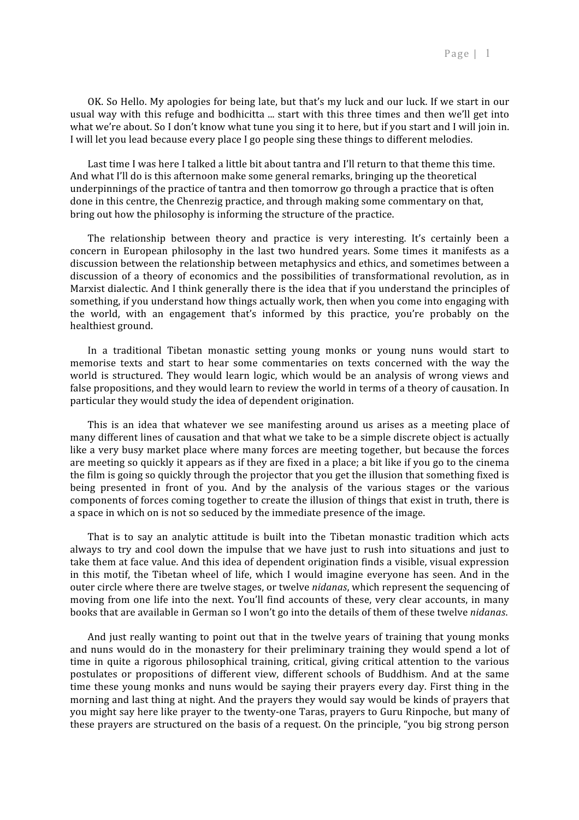OK. So Hello. My apologies for being late, but that's my luck and our luck. If we start in our usual way with this refuge and bodhicitta ... start with this three times and then we'll get into what we're about. So I don't know what tune you sing it to here, but if you start and I will join in. I will let you lead because every place I go people sing these things to different melodies.

Last time I was here I talked a little bit about tantra and I'll return to that theme this time. And what I'll do is this afternoon make some general remarks, bringing up the theoretical underpinnings of the practice of tantra and then tomorrow go through a practice that is often done
in
this
centre,
the
Chenrezig
practice,
and
through
making
some
commentary
on
that, bring
out
how
the
philosophy
is
informing
the
structure
of
the
practice.

The relationship between theory and practice is very interesting. It's certainly been a concern in European philosophy in the last two hundred years. Some times it manifests as a discussion between the relationship between metaphysics and ethics, and sometimes between a discussion of a theory of economics and the possibilities of transformational revolution, as in Marxist dialectic. And I think generally there is the idea that if you understand the principles of something, if you understand how things actually work, then when you come into engaging with the world, with an engagement that's informed by this practice, you're probably on the healthiest
ground.

In a traditional Tibetan monastic setting young monks or young nuns would start to memorise texts and start to hear some commentaries on texts concerned with the way the world is structured. They would learn logic, which would be an analysis of wrong views and false propositions, and they would learn to review the world in terms of a theory of causation. In particular
they
would
study
the
idea
of
dependent
origination.

This is an idea that whatever we see manifesting around us arises as a meeting place of many different lines of causation and that what we take to be a simple discrete object is actually like a very busy market place where many forces are meeting together, but because the forces are meeting so quickly it appears as if they are fixed in a place; a bit like if you go to the cinema the film is going so quickly through the projector that you get the illusion that something fixed is being presented in front of you. And by the analysis of the various stages or the various components
of
forces
coming
together
to
create
the
illusion
of
things
that
exist
in
truth,
there
is a space in which on is not so seduced by the immediate presence of the image.

That is to say an analytic attitude is built into the Tibetan monastic tradition which acts always to try and cool down the impulse that we have just to rush into situations and just to take them at face value. And this idea of dependent origination finds a visible, visual expression in this motif, the Tibetan wheel of life, which I would imagine everyone has seen. And in the outer circle where there are twelve stages, or twelve *nidanas*, which represent the sequencing of moving from one life into the next. You'll find accounts of these, very clear accounts, in many books that are available in German so I won't go into the details of them of these twelve *nidanas*.

And just really wanting to point out that in the twelve years of training that young monks and nuns would do in the monastery for their preliminary training they would spend a lot of time in quite a rigorous philosophical training, critical, giving critical attention to the various postulates or propositions of different view, different schools of Buddhism. And at the same time these young monks and nuns would be saying their prayers every day. First thing in the morning and last thing at night. And the prayers they would say would be kinds of prayers that you might say here like prayer to the twenty-one Taras, prayers to Guru Rinpoche, but many of these
prayers
are
structured
on
the
basis
of
a
request.
On
the
principle,
"you
big
strong
person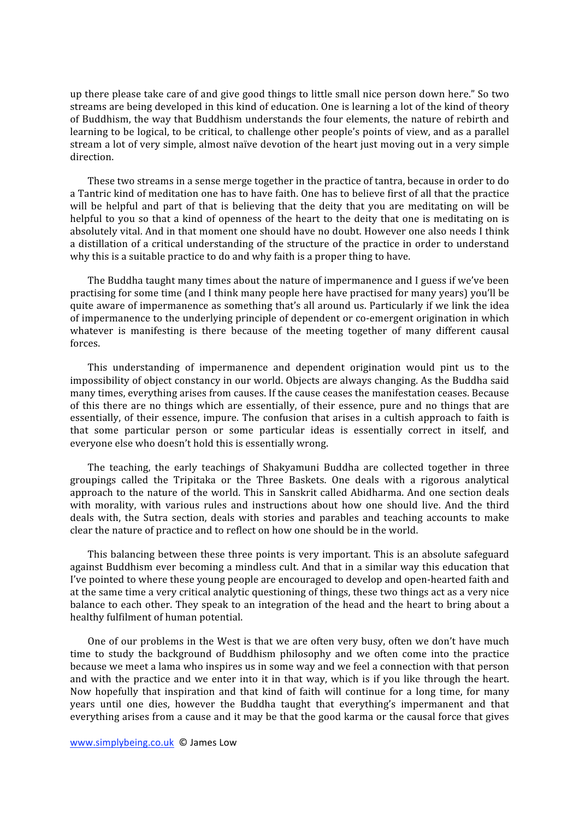up there please take care of and give good things to little small nice person down here." So two streams are being developed in this kind of education. One is learning a lot of the kind of theory of
Buddhism,
the
way
that
Buddhism
understands
the
 four
elements,
the
nature
of
rebirth
and learning to be logical, to be critical, to challenge other people's points of view, and as a parallel stream a lot of very simple, almost naïve devotion of the heart just moving out in a very simple direction.

These two streams in a sense merge together in the practice of tantra, because in order to do a Tantric kind of meditation one has to have faith. One has to believe first of all that the practice will be helpful and part of that is believing that the deity that you are meditating on will be helpful to you so that a kind of openness of the heart to the deity that one is meditating on is absolutely
vital.
And
in
that
moment
one
should
have
no
doubt.
However
one
also
needs
I
think a distillation of a critical understanding of the structure of the practice in order to understand why this is a suitable practice to do and why faith is a proper thing to have.

The Buddha taught many times about the nature of impermanence and I guess if we've been practising
for
some
time
(and
I
think
many
people
here
have
practised
for
many
years)
you'll
be quite aware of impermanence as something that's all around us. Particularly if we link the idea of impermanence to the underlying principle of dependent or co-emergent origination in which whatever is manifesting is there because of the meeting together of many different causal forces.

This understanding of impermanence and dependent origination would pint us to the impossibility
of
object
constancy
in
our
world.
Objects
are
always
changing.
As
the
Buddha
said many
times,
everything
arises
from
causes.
If
the
cause
ceases
the
manifestation
ceases.
Because of this there are no things which are essentially, of their essence, pure and no things that are essentially, of their essence, impure. The confusion that arises in a cultish approach to faith is that some particular person or some particular ideas is essentially correct in itself, and everyone
else
who
doesn't
hold
this
is
essentially
wrong.

The teaching, the early teachings of Shakyamuni Buddha are collected together in three groupings
 called
 the
 Tripitaka
 or
 the
 Three
 Baskets.
 One
 deals
 with
 a
 rigorous
 analytical approach
 to
 the
nature
of
 the
world.
This
in
Sanskrit
called
Abidharma.
And
one
section
deals with morality, with various rules and instructions about how one should live. And the third deals with, the Sutra section, deals with stories and parables and teaching accounts to make clear
the
nature
of
practice
and
to
reflect
on
how
one
should
be
in
the
world.

This
balancing
between
these
three
points
is
very
important.
This
is
an
absolute
safeguard against Buddhism ever becoming a mindless cult. And that in a similar way this education that I've pointed to where these young people are encouraged to develop and open-hearted faith and at the same time a very critical analytic questioning of things, these two things act as a very nice balance to each other. They speak to an integration of the head and the heart to bring about a healthy
fulfilment
of
human
potential.

One of our problems in the West is that we are often very busy, often we don't have much time to study the background of Buddhism philosophy and we often come into the practice because
we
meet
a
lama
who
inspires
us
in
some
way
and
we
feel
a
connection
with
that
person and with the practice and we enter into it in that way, which is if you like through the heart. Now hopefully that inspiration and that kind of faith will continue for a long time, for many years until one dies, however the Buddha taught that everything's impermanent and that everything arises from a cause and it may be that the good karma or the causal force that gives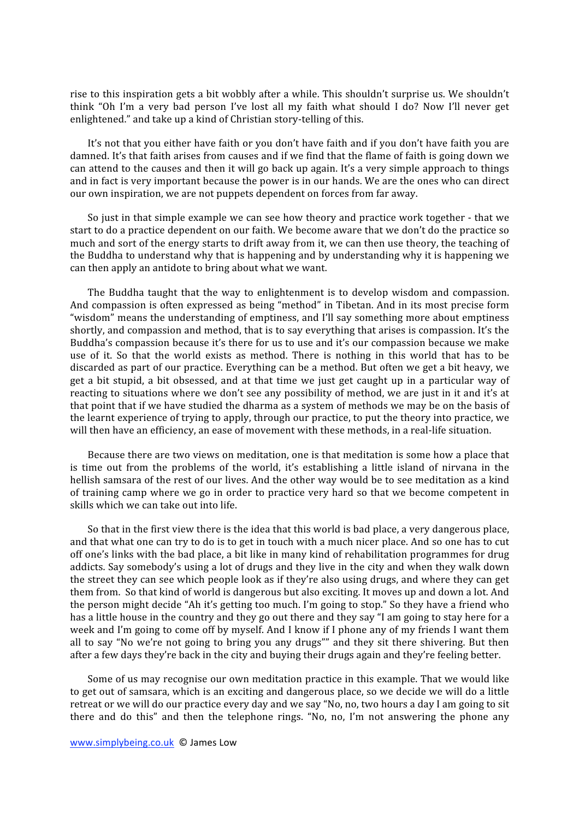rise to this inspiration gets a bit wobbly after a while. This shouldn't surprise us. We shouldn't think "Oh I'm a very bad person I've lost all my faith what should I do? Now I'll never get enlightened."
and
take
up
a
kind
of
Christian
story‐telling
of
this.

It's not that you either have faith or you don't have faith and if you don't have faith you are damned. It's that faith arises from causes and if we find that the flame of faith is going down we can attend to the causes and then it will go back up again. It's a very simple approach to things and in fact is very important because the power is in our hands. We are the ones who can direct our
own
inspiration,
we
are
not
puppets
dependent
on
forces
from
far
away.

So just in that simple example we can see how theory and practice work together - that we start to do a practice dependent on our faith. We become aware that we don't do the practice so much and sort of the energy starts to drift away from it, we can then use theory, the teaching of the Buddha to understand why that is happening and by understanding why it is happening we can
then
apply
an
antidote
to
bring
about
what
we
want.

The Buddha taught that the way to enlightenment is to develop wisdom and compassion. And compassion is often expressed as being "method" in Tibetan. And in its most precise form "wisdom" means the understanding of emptiness, and I'll say something more about emptiness shortly, and compassion and method, that is to say everything that arises is compassion. It's the Buddha's compassion because it's there for us to use and it's our compassion because we make use of it. So that the world exists as method. There is nothing in this world that has to be discarded
as
part
of
our
practice.
Everything
can
be
a
method.
But
often
we
get
a
bit
heavy,
we get a bit stupid, a bit obsessed, and at that time we just get caught up in a particular way of reacting to situations where we don't see any possibility of method, we are just in it and it's at that point that if we have studied the dharma as a system of methods we may be on the basis of the learnt experience of trying to apply, through our practice, to put the theory into practice, we will then have an efficiency, an ease of movement with these methods, in a real-life situation.

Because there are two views on meditation, one is that meditation is some how a place that is time out from the problems of the world, it's establishing a little island of nirvana in the hellish samsara of the rest of our lives. And the other way would be to see meditation as a kind of training camp where we go in order to practice very hard so that we become competent in skills
which
we
can
take
out
into
life.

So that in the first view there is the idea that this world is bad place, a very dangerous place, and that what one can try to do is to get in touch with a much nicer place. And so one has to cut off
one's
links
with
the
bad
place,
a
bit
like
in
many
kind
of
rehabilitation
programmes
for
drug addicts. Say somebody's using a lot of drugs and they live in the city and when they walk down the street they can see which people look as if they're also using drugs, and where they can get them from. So that kind of world is dangerous but also exciting. It moves up and down a lot. And the person might decide "Ah it's getting too much. I'm going to stop." So they have a friend who has a little house in the country and they go out there and they say "I am going to stay here for a week and I'm going to come off by myself. And I know if I phone any of my friends I want them all to say "No we're not going to bring you any drugs"" and they sit there shivering. But then after a few days they're back in the city and buying their drugs again and they're feeling better.

Some of us may recognise our own meditation practice in this example. That we would like to get out of samsara, which is an exciting and dangerous place, so we decide we will do a little retreat or we will do our practice every day and we say "No, no, two hours a day I am going to sit there and do this" and then the telephone rings. "No, no, I'm not answering the phone any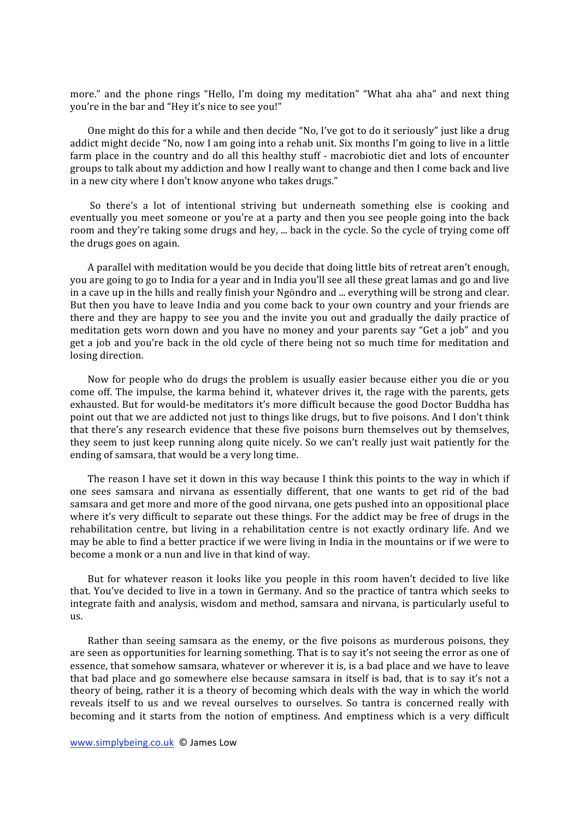more." and the phone rings "Hello, I'm doing my meditation" "What aha aha" and next thing vou're in the bar and "Hey it's nice to see you!"

One might do this for a while and then decide "No, I've got to do it seriously" just like a drug addict might decide "No, now I am going into a rehab unit. Six months I'm going to live in a little farm place in the country and do all this healthy stuff - macrobiotic diet and lots of encounter groups
to
talk
about
my
addiction
and
how
I
really
want
to
change
and
then
I
come
back
and
live in
a
new
city
where
I
don't
know
anyone
who
takes
drugs."

So there's a lot of intentional striving but underneath something else is cooking and eventually you meet someone or you're at a party and then you see people going into the back room and they're taking some drugs and hey, ... back in the cycle. So the cycle of trying come off the
drugs
goes
on
again.

A parallel with meditation would be you decide that doing little bits of retreat aren't enough, you are going to go to India for a year and in India you'll see all these great lamas and go and live in a cave up in the hills and really finish your Ngöndro and ... everything will be strong and clear. But then you have to leave India and you come back to your own country and your friends are there and they are happy to see you and the invite you out and gradually the daily practice of meditation
gets
worn
down
and
you
have
no
money
and
your
parents
say
"Get
a
job"
and
you get a job and you're back in the old cycle of there being not so much time for meditation and losing
direction.

Now for people who do drugs the problem is usually easier because either you die or you come off. The impulse, the karma behind it, whatever drives it, the rage with the parents, gets exhausted. But for would-be meditators it's more difficult because the good Doctor Buddha has point out that we are addicted not just to things like drugs, but to five poisons. And I don't think that there's any research evidence that these five poisons burn themselves out by themselves, they seem to just keep running along quite nicely. So we can't really just wait patiently for the ending
of
samsara,
that
would
be
a
very
long
time.

The reason I have set it down in this way because I think this points to the way in which if one
 sees
 samsara
 and
 nirvana
 as
 essentially
 different,
 that
 one
 wants
 to
 get
 rid
 of
 the
 bad samsara
and
get
more
and
more
of
the
good
nirvana,
one
gets
pushed
into
an
oppositional
place where it's very difficult to separate out these things. For the addict may be free of drugs in the rehabilitation centre, but living in a rehabilitation centre is not exactly ordinary life. And we may be able to find a better practice if we were living in India in the mountains or if we were to become
a
monk
or
a
nun
and
live
in
that
kind
of
way.

But for whatever reason it looks like you people in this room haven't decided to live like that. You've decided to live in a town in Germany. And so the practice of tantra which seeks to integrate
faith
and
analysis,
wisdom
and
method,
samsara
and
nirvana,
is
particularly
useful
to us.

Rather than seeing samsara as the enemy, or the five poisons as murderous poisons, they are seen as opportunities for learning something. That is to say it's not seeing the error as one of essence,
that
somehow
samsara,
whatever
or
wherever
it
is,
is
a
bad
place
and
we
have
to
leave that bad place and go somewhere else because samsara in itself is bad, that is to say it's not a theory
of
being,
rather
it
is
a
theory
of
becoming
which
deals
with
the
way
in
which
the
world reveals itself to us and we reveal ourselves to ourselves. So tantra is concerned really with becoming and it starts from the notion of emptiness. And emptiness which is a very difficult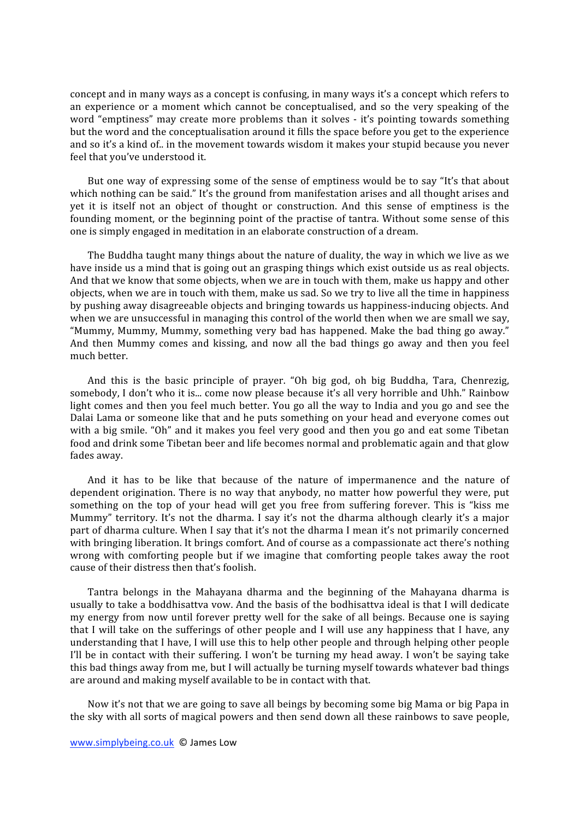concept and in many ways as a concept is confusing, in many ways it's a concept which refers to an experience or a moment which cannot be conceptualised, and so the very speaking of the word "emptiness" may create more problems than it solves - it's pointing towards something but the word and the conceptualisation around it fills the space before you get to the experience and so it's a kind of.. in the movement towards wisdom it makes your stupid because you never feel
that
you've
understood
it.

But one way of expressing some of the sense of emptiness would be to say "It's that about which nothing can be said." It's the ground from manifestation arises and all thought arises and yet it is itself not an object of thought or construction. And this sense of emptiness is the founding moment, or the beginning point of the practise of tantra. Without some sense of this one
is
simply
engaged
in
meditation
in
an
elaborate
construction
of
a
dream.

The Buddha taught many things about the nature of duality, the way in which we live as we have inside us a mind that is going out an grasping things which exist outside us as real objects. And that we know that some objects, when we are in touch with them, make us happy and other objects,
when
we
are
in
touch
with
them,
make
us
sad.
So
we
try
to
live
all
the
time
in
happiness by
pushing
away
disagreeable
objects
and
bringing
towards
us
happiness‐inducing
objects.
And when we are unsuccessful in managing this control of the world then when we are small we say, "Mummy, Mummy, Mummy, something very bad has happened. Make the bad thing go away." And then Mummy comes and kissing, and now all the bad things go away and then you feel much
better.

And this is the basic principle of prayer. "Oh big god, oh big Buddha, Tara, Chenrezig, somebody, I don't who it is... come now please because it's all very horrible and Uhh." Rainbow light comes and then you feel much better. You go all the way to India and you go and see the Dalai Lama or someone like that and he puts something on your head and everyone comes out with a big smile. "Oh" and it makes you feel very good and then you go and eat some Tibetan food and drink some Tibetan beer and life becomes normal and problematic again and that glow fades
away.

And it has to be like that because of the nature of impermanence and the nature of dependent origination. There is no way that anybody, no matter how powerful they were, put something on the top of your head will get you free from suffering forever. This is "kiss me Mummy" territory. It's not the dharma. I say it's not the dharma although clearly it's a major part of dharma culture. When I say that it's not the dharma I mean it's not primarily concerned with bringing liberation. It brings comfort. And of course as a compassionate act there's nothing wrong with comforting people but if we imagine that comforting people takes away the root cause
of
their
distress
then
that's
foolish.

Tantra belongs in the Mahayana dharma and the beginning of the Mahayana dharma is usually to take a boddhisattva vow. And the basis of the bodhisattva ideal is that I will dedicate my
energy
 from
now
until
 forever
pretty
well
 for
 the
sake
of
all
beings.
Because
one
is
saying that I will take on the sufferings of other people and I will use any happiness that I have, any understanding that I have, I will use this to help other people and through helping other people I'll be in contact with their suffering. I won't be turning my head away. I won't be saying take this bad things away from me, but I will actually be turning myself towards whatever bad things are
around
and
making
myself
available
to
be
in
contact
with
that.

Now it's not that we are going to save all beings by becoming some big Mama or big Papa in the
sky
with
all
sorts
of
magical
powers
and
then
send
down
all
these
rainbows
to
save
people,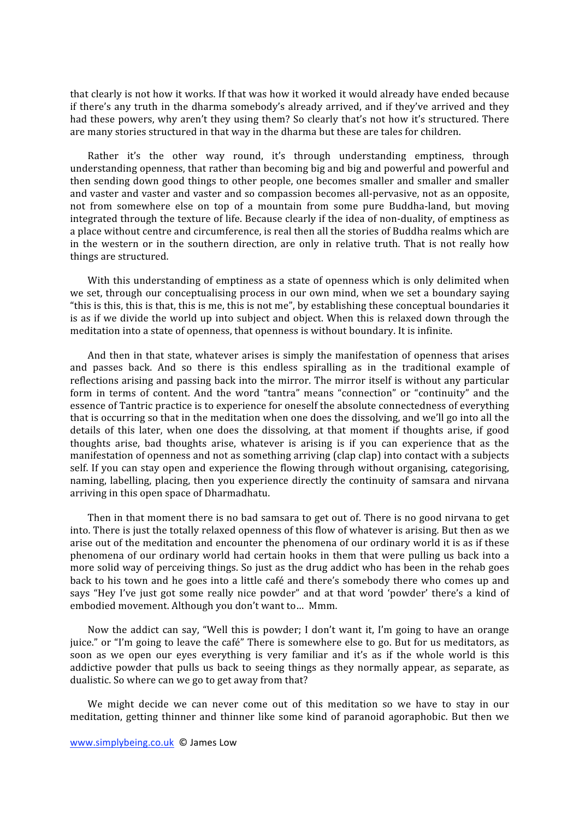that clearly is not how it works. If that was how it worked it would already have ended because if there's any truth in the dharma somebody's already arrived, and if they've arrived and they had these powers, why aren't they using them? So clearly that's not how it's structured. There are
many
stories
structured
in
that
way
in
the
dharma
but
these
are
tales
for
children.

Rather it's the other way round, it's through understanding emptiness, through understanding
openness,
that
rather
than
becoming
big
and
big
and
powerful
and
powerful
and then
sending
down
good
things
to
other
people,
one
becomes
smaller
and
smaller
and
smaller and vaster and vaster and vaster and so compassion becomes all-pervasive, not as an opposite, not from somewhere else on top of a mountain from some pure Buddha-land, but moving integrated through the texture of life. Because clearly if the idea of non-duality, of emptiness as a place without centre and circumference, is real then all the stories of Buddha realms which are in the western or in the southern direction, are only in relative truth. That is not really how things
are
structured.

With this understanding of emptiness as a state of openness which is only delimited when we set, through our conceptualising process in our own mind, when we set a boundary saying "this is this, this is that, this is me, this is not me", by establishing these conceptual boundaries it is as if we divide the world up into subject and object. When this is relaxed down through the meditation into a state of openness, that openness is without boundary. It is infinite.

And then in that state, whatever arises is simply the manifestation of openness that arises and passes back. And so there is this endless spiralling as in the traditional example of reflections arising and passing back into the mirror. The mirror itself is without any particular form in terms of content. And the word "tantra" means "connection" or "continuity" and the essence of Tantric practice is to experience for oneself the absolute connectedness of everything that is occurring so that in the meditation when one does the dissolving, and we'll go into all the details of this later, when one does the dissolving, at that moment if thoughts arise, if good thoughts arise, bad thoughts arise, whatever is arising is if you can experience that as the manifestation of openness and not as something arriving (clap clap) into contact with a subjects self. If you can stay open and experience the flowing through without organising, categorising, naming, labelling, placing, then you experience directly the continuity of samsara and nirvana arriving
in
this
open
space
of
Dharmadhatu.

Then in that moment there is no bad samsara to get out of. There is no good nirvana to get into. There is just the totally relaxed openness of this flow of whatever is arising. But then as we arise out of the meditation and encounter the phenomena of our ordinary world it is as if these phenomena of our ordinary world had certain hooks in them that were pulling us back into a more solid way of perceiving things. So just as the drug addict who has been in the rehab goes back to his town and he goes into a little café and there's somebody there who comes up and says "Hey I've just got some really nice powder" and at that word 'powder' there's a kind of embodied
movement.
Although
you
don't
want
to…

Mmm.

Now the addict can say, "Well this is powder; I don't want it, I'm going to have an orange juice." or "I'm going to leave the café" There is somewhere else to go. But for us meditators, as soon as we open our eyes everything is very familiar and it's as if the whole world is this addictive powder that pulls us back to seeing things as they normally appear, as separate, as dualistic.
So
where
can
we
go
to
get
away
from
that?

We might decide we can never come out of this meditation so we have to stay in our meditation, getting thinner and thinner like some kind of paranoid agoraphobic. But then we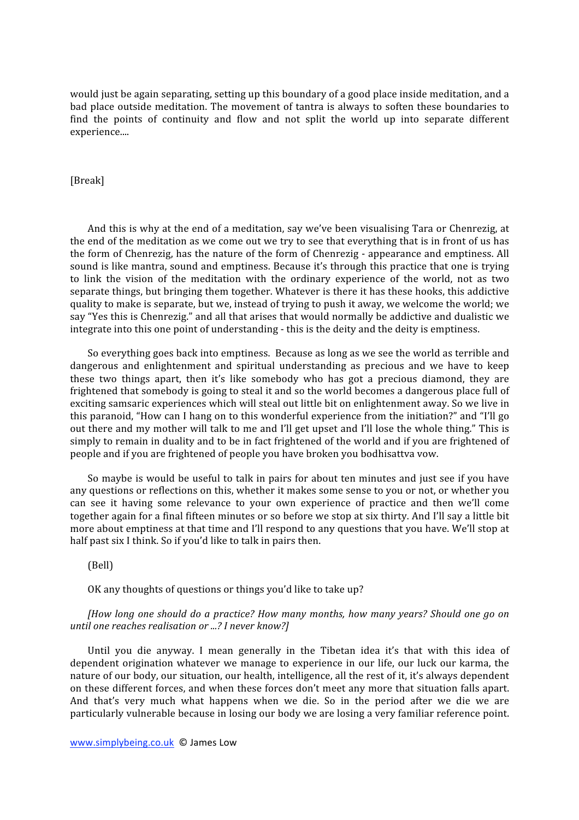would just be again separating, setting up this boundary of a good place inside meditation, and a bad place outside meditation. The movement of tantra is always to soften these boundaries to find the points of continuity and flow and not split the world up into separate different experience....

[Break]

And this is why at the end of a meditation, say we've been visualising Tara or Chenrezig, at the end of the meditation as we come out we try to see that everything that is in front of us has the form of Chenrezig, has the nature of the form of Chenrezig - appearance and emptiness. All sound is like mantra, sound and emptiness. Because it's through this practice that one is trying to link the vision of the meditation with the ordinary experience of the world, not as two separate things, but bringing them together. Whatever is there it has these hooks, this addictive quality
to
make
is
separate,
but
we,
instead
of
trying
to
push
it
away,
we
welcome
the
world;
we say "Yes this is Chenrezig." and all that arises that would normally be addictive and dualistic we integrate into this one point of understanding - this is the deity and the deity is emptiness.

So
everything
goes
back
into
emptiness.

Because
as
long
as
we
see
the
world
as
terrible
and dangerous and enlightenment and spiritual understanding as precious and we have to keep these two things apart, then it's like somebody who has got a precious diamond, they are frightened that somebody is going to steal it and so the world becomes a dangerous place full of exciting samsaric experiences which will steal out little bit on enlightenment away. So we live in this paranoid, "How can I hang on to this wonderful experience from the initiation?" and "I'll go out there and my mother will talk to me and I'll get upset and I'll lose the whole thing." This is simply to remain in duality and to be in fact frightened of the world and if you are frightened of people
and
if
you
are
frightened
of
people
you
have
broken
you
bodhisattva
vow.

So maybe is would be useful to talk in pairs for about ten minutes and just see if you have any questions or reflections on this, whether it makes some sense to you or not, or whether you can see it having some relevance to your own experience of practice and then we'll come together again for a final fifteen minutes or so before we stop at six thirty. And I'll say a little bit more about emptiness at that time and I'll respond to any questions that you have. We'll stop at half past six I think. So if you'd like to talk in pairs then.

(Bell)

OK any thoughts of questions or things you'd like to take up?

*[How
long
 one
 should
do
a
practice?
How
many
months,
how
many
years?
Should
 one
go
 on until
one
reaches
realisation
or
...?
I
never
know?]*

Until you die anyway. I mean generally in the Tibetan idea it's that with this idea of dependent origination whatever we manage to experience in our life, our luck our karma, the nature of our body, our situation, our health, intelligence, all the rest of it, it's always dependent on
these
different
forces,
and
when
these
forces
don't
meet
any
more
that
situation
falls
apart. And that's very much what happens when we die. So in the period after we die we are particularly
vulnerable
because
in
losing
our
body
we
are
losing
a
very
familiar
reference
point.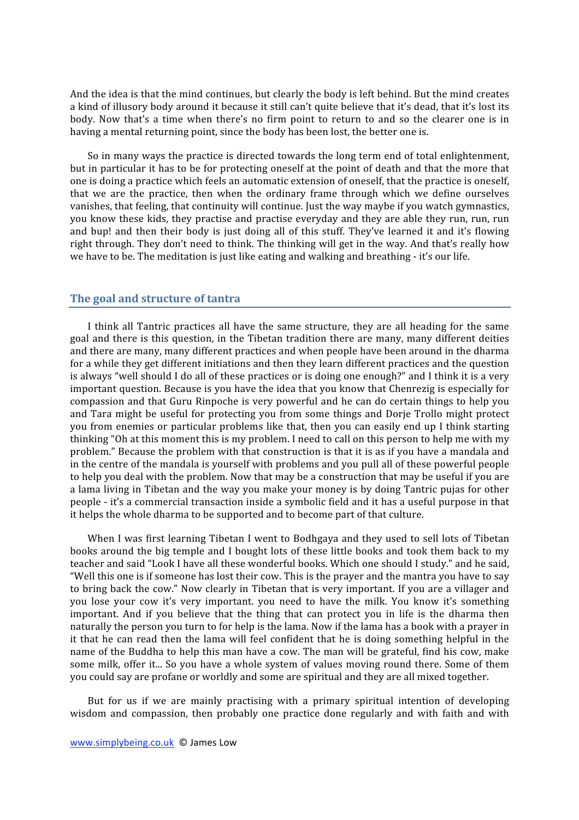And the idea is that the mind continues, but clearly the body is left behind. But the mind creates a kind of illusory body around it because it still can't quite believe that it's dead, that it's lost its body. Now that's a time when there's no firm point to return to and so the clearer one is in having a mental returning point, since the body has been lost, the better one is.

So
in
many
ways
the
practice
is
directed
towards
the
long
term
end
of
total
enlightenment, but in particular it has to be for protecting oneself at the point of death and that the more that one
is
doing
a
practice
which
feels
an
automatic
extension
of
oneself,
that
the
practice
is
oneself, that
 we
 are
 the
 practice,
 then
 when
 the
 ordinary
 frame
 through
 which
 we
 define
 ourselves vanishes, that feeling, that continuity will continue. Just the way maybe if you watch gymnastics, you know these kids, they practise and practise everyday and they are able they run, run, run and bup! and then their body is just doing all of this stuff. They've learned it and it's flowing right through. They don't need to think. The thinking will get in the way. And that's really how we have to be. The meditation is just like eating and walking and breathing - it's our life.

## **The
goal
and
structure
of
tantra**

I think all Tantric practices all have the same structure, they are all heading for the same goal
and
 there
is
 this
question,
in
 the
Tibetan
 tradition
 there
are
many,
many
different
deities and there are many, many different practices and when people have been around in the dharma for a while they get different initiations and then they learn different practices and the question is always "well should I do all of these practices or is doing one enough?" and I think it is a very important question. Because is you have the idea that you know that Chenrezig is especially for compassion
and
 that
Guru
Rinpoche
is
very
powerful
and
he
can
do
certain
 things
 to
help
you and Tara might be useful for protecting you from some things and Dorje Trollo might protect you
 from
enemies
or
particular
problems
like
 that,
 then
you
can
easily
end
up
 I
 think
starting thinking "Oh at this moment this is my problem. I need to call on this person to help me with my problem." Because the problem with that construction is that it is as if you have a mandala and in
the
centre
of
the
mandala
is
yourself
with
problems
and
you
pull
all
of
these
powerful
people to help you deal with the problem. Now that may be a construction that may be useful if you are a lama living in Tibetan and the way you make your money is by doing Tantric pujas for other people - it's a commercial transaction inside a symbolic field and it has a useful purpose in that it
helps
the
whole
dharma
to
be
supported
and
to
become
part
of
that
culture.

When I was first learning Tibetan I went to Bodhgaya and they used to sell lots of Tibetan books around the big temple and I bought lots of these little books and took them back to my teacher and said "Look I have all these wonderful books. Which one should I study." and he said, "Well this one is if someone has lost their cow. This is the prayer and the mantra you have to say to bring back the cow." Now clearly in Tibetan that is very important. If you are a villager and you lose your cow it's very important. you need to have the milk. You know it's something important. And if you believe that the thing that can protect you in life is the dharma then naturally the person you turn to for help is the lama. Now if the lama has a book with a prayer in it that he can read then the lama will feel confident that he is doing something helpful in the name of the Buddha to help this man have a cow. The man will be grateful, find his cow, make some milk, offer it... So you have a whole system of values moving round there. Some of them you
could
say
are
profane
or
worldly
and
some
are
spiritual
and
they
are
all
mixed
together.

But for us if we are mainly practising with a primary spiritual intention of developing wisdom and compassion, then probably one practice done regularly and with faith and with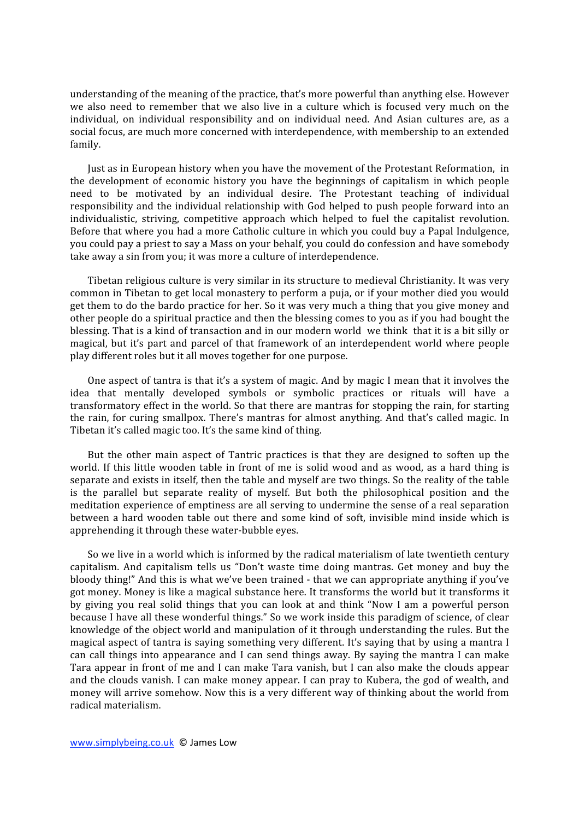understanding of the meaning of the practice, that's more powerful than anything else. However we also need to remember that we also live in a culture which is focused very much on the individual, on individual responsibility and on individual need. And Asian cultures are, as a social
focus,
are
much
more
concerned
with
interdependence,
with
membership
to
an
extended family.

Just
as
in
European
history
when
you
have
the
movement
of
the
Protestant
Reformation,

in the development of economic history you have the beginnings of capitalism in which people need
 to
 be
 motivated
 by
 an
 individual
 desire.
 The
 Protestant
 teaching
 of
 individual responsibility and the individual relationship with God helped to push people forward into an individualistic, striving, competitive approach which helped to fuel the capitalist revolution. Before that where you had a more Catholic culture in which you could buy a Papal Indulgence, you
could
pay
a
priest
to
say
a
Mass
on
your
behalf,
you
could
do
confession
and
have
somebody take
away
a
sin
from
you;
it
was
more
a
culture
of
interdependence.

Tibetan religious culture is very similar in its structure to medieval Christianity. It was very common
in
Tibetan
to
get
local
monastery
to
perform
a
puja,
or
if
your
mother
died
you
would get them to do the bardo practice for her. So it was very much a thing that you give money and other people do a spiritual practice and then the blessing comes to you as if you had bought the blessing. That is a kind of transaction and in our modern world we think that it is a bit silly or magical,
 but
it's
 part
 and
 parcel
 of
 that
 framework
 of
 an
interdependent
world
where
 people play
different
roles
but
it
all
moves
together
for
one
purpose.

One aspect of tantra is that it's a system of magic. And by magic I mean that it involves the idea that mentally developed symbols or symbolic practices or rituals will have a transformatory
effect
in
the
world.
So
that
there
are
mantras
for
stopping
the
rain,
for
starting the
 rain,
 for
 curing
 smallpox.
There's
mantras
 for
almost
anything.
And
 that's
 called
magic.
 In Tibetan
it's
called
magic
too.
It's
the
same
kind
of
thing.

But the other main aspect of Tantric practices is that they are designed to soften up the world. If this little wooden table in front of me is solid wood and as wood, as a hard thing is separate and exists in itself, then the table and myself are two things. So the reality of the table is the parallel but separate reality of myself. But both the philosophical position and the meditation experience of emptiness are all serving to undermine the sense of a real separation between a hard wooden table out there and some kind of soft, invisible mind inside which is apprehending
it
through
these
water‐bubble
eyes.

So we live in a world which is informed by the radical materialism of late twentieth century capitalism. And capitalism tells us "Don't waste time doing mantras. Get money and buy the bloody thing!" And this is what we've been trained - that we can appropriate anything if you've got
money.
Money
is
like
a
magical
substance
here.
It
transforms
the
world
but
it
transforms
it by giving you real solid things that you can look at and think "Now I am a powerful person because I have all these wonderful things." So we work inside this paradigm of science, of clear knowledge of the object world and manipulation of it through understanding the rules. But the magical aspect of tantra is saying something very different. It's saying that by using a mantra I can call things into appearance and I can send things away. By saying the mantra I can make Tara appear in front of me and I can make Tara vanish, but I can also make the clouds appear and the clouds vanish. I can make money appear. I can pray to Kubera, the god of wealth, and money
will
arrive
somehow.
Now
this
is
a
very
different
way
of
thinking
about
the
world
from radical
materialism.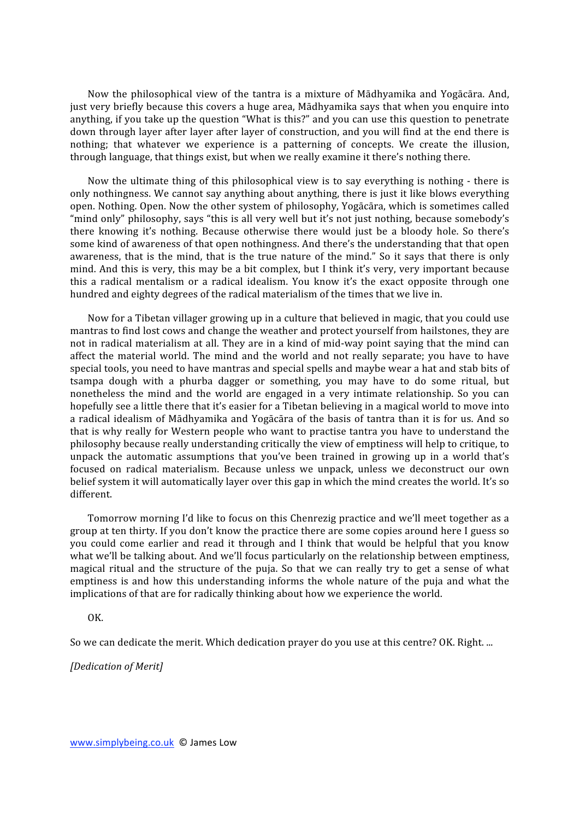Now the philosophical view of the tantra is a mixture of Mādhyamika and Yogācāra. And, just very briefly because this covers a huge area, Mādhyamika says that when you enquire into anything, if you take up the question "What is this?" and you can use this question to penetrate down through layer after layer after layer of construction, and you will find at the end there is nothing; that whatever we experience is a patterning of concepts. We create the illusion, through language, that things exist, but when we really examine it there's nothing there.

Now the ultimate thing of this philosophical view is to say everything is nothing - there is only
nothingness.
We
cannot
say
anything
about
anything,
there
is
just
it
like
blows
everything open. Nothing. Open. Now the other system of philosophy, Yogācāra, which is sometimes called "mind only" philosophy, says "this is all very well but it's not just nothing, because somebody's there knowing it's nothing. Because otherwise there would just be a bloody hole. So there's some kind of awareness of that open nothingness. And there's the understanding that that open awareness, that is the mind, that is the true nature of the mind." So it says that there is only mind. And this is very, this may be a bit complex, but I think it's very, very important because this a radical mentalism or a radical idealism. You know it's the exact opposite through one hundred and eighty degrees of the radical materialism of the times that we live in.

Now for a Tibetan villager growing up in a culture that believed in magic, that you could use mantras
to
find
lost
cows
and
change
the
weather
and
protect
yourself
from
hailstones,
they
are not in radical materialism at all. They are in a kind of mid-way point saying that the mind can affect the material world. The mind and the world and not really separate; you have to have special tools, you need to have mantras and special spells and maybe wear a hat and stab bits of tsampa dough with a phurba dagger or something, you may have to do some ritual, but nonetheless the mind and the world are engaged in a very intimate relationship. So you can hopefully see a little there that it's easier for a Tibetan believing in a magical world to move into a radical idealism of Mādhyamika and Yogācāra of the basis of tantra than it is for us. And so that is why really for Western people who want to practise tantra you have to understand the philosophy
because
really
understanding
critically
the
view
of
emptiness
will
help
to
critique,
to unpack the automatic assumptions that you've been trained in growing up in a world that's focused on radical materialism. Because unless we unpack, unless we deconstruct our own belief system it will automatically layer over this gap in which the mind creates the world. It's so different.

Tomorrow morning I'd like to focus on this Chenrezig practice and we'll meet together as a group
at
ten
thirty.
If
you
don't
know
the
practice
there
are
some
copies
around
here
I
guess
so you could come earlier and read it through and I think that would be helpful that you know what we'll be talking about. And we'll focus particularly on the relationship between emptiness, magical ritual and the structure of the puja. So that we can really try to get a sense of what emptiness is and how this understanding informs the whole nature of the puja and what the implications of that are for radically thinking about how we experience the world.

OK.

So we can dedicate the merit. Which dedication prayer do you use at this centre? OK. Right. ...

*[Dedication
of
Merit]*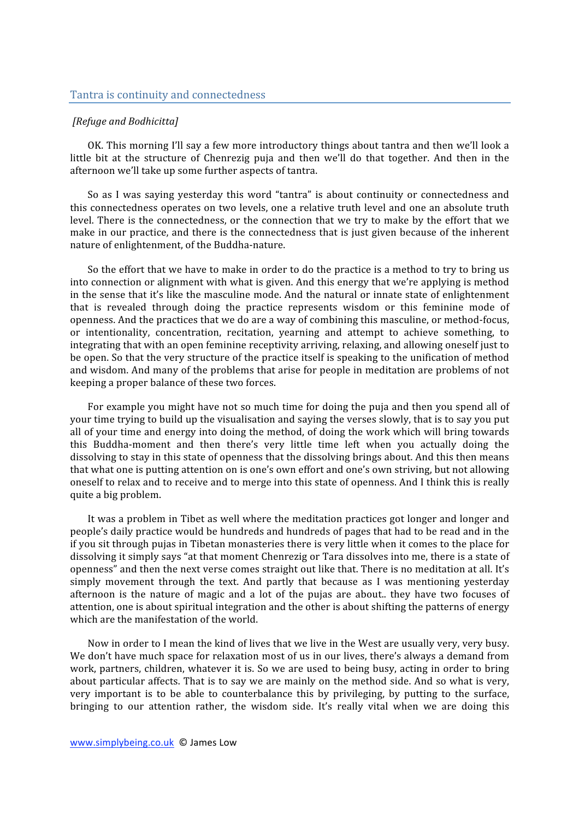## *[Refuge
and
Bodhicitta]*

OK. This morning I'll say a few more introductory things about tantra and then we'll look a little bit at the structure of Chenrezig puja and then we'll do that together. And then in the afternoon
we'll
take
up
some
further
aspects
of
tantra.

So as I was saying yesterday this word "tantra" is about continuity or connectedness and this
connectedness
operates
on
two
levels,
one
a
relative
truth
level
and
one
an
absolute
truth level. There is the connectedness, or the connection that we try to make by the effort that we make in our practice, and there is the connectedness that is just given because of the inherent nature
of
enlightenment,
of
the
Buddha‐nature.

So the effort that we have to make in order to do the practice is a method to try to bring us into
connection
or
alignment
with
what
is
given.
And
this
energy
that
we're
applying
is
method in the sense that it's like the masculine mode. And the natural or innate state of enlightenment that is revealed through doing the practice represents wisdom or this feminine mode of openness.
And
the
practices
that
we
do
are
a
way
of
combining
this
masculine,
or
method‐focus, or intentionality, concentration, recitation, yearning and attempt to achieve something, to integrating that with an open feminine receptivity arriving, relaxing, and allowing oneself just to be open. So that the very structure of the practice itself is speaking to the unification of method and
wisdom.
And
many
of
the
problems
that
arise
for
people
in
meditation
are
problems
of
not keeping
a
proper
balance
of
these
two
forces.

For example you might have not so much time for doing the puja and then you spend all of your time trying to build up the visualisation and saying the verses slowly, that is to say you put all of your time and energy into doing the method, of doing the work which will bring towards this Buddha-moment and then there's very little time left when you actually doing the dissolving to stay in this state of openness that the dissolving brings about. And this then means that
what
one
is
putting
attention
on
is
one's
own
effort
and
one's
own
striving,
but
not
allowing oneself to relax and to receive and to merge into this state of openness. And I think this is really quite
a
big
problem.

It was a problem in Tibet as well where the meditation practices got longer and longer and people's
daily
practice
would
be
hundreds
and
hundreds
of
pages
that
had
to
be
read
and
in
the if
you
sit
through
pujas
in
Tibetan
monasteries
there
is
very
little
when
it
comes
to
the
place
for dissolving it simply says "at that moment Chenrezig or Tara dissolves into me, there is a state of openness" and then the next verse comes straight out like that. There is no meditation at all. It's simply movement through the text. And partly that because as I was mentioning vesterday afternoon is the nature of magic and a lot of the pujas are about.. they have two focuses of attention,
one
is
about
spiritual
integration
and
the
other
is
about
shifting
the
patterns
of
energy which are the manifestation of the world.

Now in order to I mean the kind of lives that we live in the West are usually very, very busy. We don't have much space for relaxation most of us in our lives, there's always a demand from work, partners, children, whatever it is. So we are used to being busy, acting in order to bring about particular affects. That is to say we are mainly on the method side. And so what is very, very important is to be able to counterbalance this by privileging, by putting to the surface, bringing to our attention rather, the wisdom side. It's really vital when we are doing this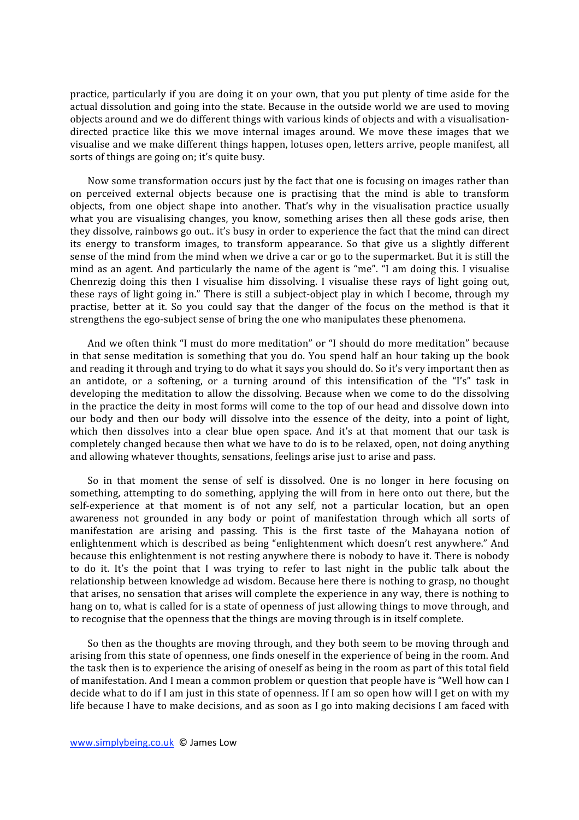practice, particularly if you are doing it on your own, that you put plenty of time aside for the actual dissolution and going into the state. Because in the outside world we are used to moving objects around and we do different things with various kinds of objects and with a visualisationdirected practice like this we move internal images around. We move these images that we visualise
and
we
make
different
things
happen,
lotuses
open,
letters
arrive,
people
manifest,
all sorts of things are going on; it's quite busy.

Now some transformation occurs just by the fact that one is focusing on images rather than on perceived external objects because one is practising that the mind is able to transform objects, from one object shape into another. That's why in the visualisation practice usually what you are visualising changes, you know, something arises then all these gods arise, then they dissolve, rainbows go out.. it's busy in order to experience the fact that the mind can direct its
 energy
 to
 transform
 images,
 to
 transform
 appearance.
 So
 that
 give
 us
 a
 slightly
 different sense of the mind from the mind when we drive a car or go to the supermarket. But it is still the mind as an agent. And particularly the name of the agent is "me". "I am doing this. I visualise Chenrezig doing this then I visualise him dissolving. I visualise these rays of light going out, these rays of light going in." There is still a subject-object play in which I become, through my practise, better at it. So you could say that the danger of the focus on the method is that it strengthens the ego-subject sense of bring the one who manipulates these phenomena.

And we often think "I must do more meditation" or "I should do more meditation" because in that sense meditation is something that you do. You spend half an hour taking up the book and reading it through and trying to do what it says you should do. So it's very important then as an antidote, or a softening, or a turning around of this intensification of the "I's" task in developing the meditation to allow the dissolving. Because when we come to do the dissolving in the practice the deity in most forms will come to the top of our head and dissolve down into our body and then our body will dissolve into the essence of the deity, into a point of light, which then dissolves into a clear blue open space. And it's at that moment that our task is completely
changed
because
then
what
we
have
to
do
is
to
be
relaxed,
open,
not
doing
anything and
allowing
whatever
thoughts,
sensations,
feelings
arise
just
to
arise
and
pass.

So in that moment the sense of self is dissolved. One is no longer in here focusing on something, attempting to do something, applying the will from in here onto out there, but the self-experience at that moment is of not any self, not a particular location, but an open awareness not grounded in any body or point of manifestation through which all sorts of manifestation are arising and passing. This is the first taste of the Mahayana notion of enlightenment
which
is
described
as
being
 "enlightenment
which
doesn't
rest
anywhere."
And because this enlightenment is not resting anywhere there is nobody to have it. There is nobody to do it. It's the point that I was trying to refer to last night in the public talk about the relationship
between
knowledge
ad
wisdom.
Because
here
there
is
nothing
to
grasp,
no
thought that
arises,
no
sensation
that
arises
will
complete
the
experience
in
any
way,
there
is
nothing
to hang on to, what is called for is a state of openness of just allowing things to move through, and to recognise that the openness that the things are moving through is in itself complete.

So then as the thoughts are moving through, and they both seem to be moving through and arising
from
this
state
of
openness,
one
finds
oneself
in
the
experience
of
being
in
the
room.
And the task then is to experience the arising of oneself as being in the room as part of this total field of manifestation. And I mean a common problem or question that people have is "Well how can I decide what to do if I am just in this state of openness. If I am so open how will I get on with my life because I have to make decisions, and as soon as I go into making decisions I am faced with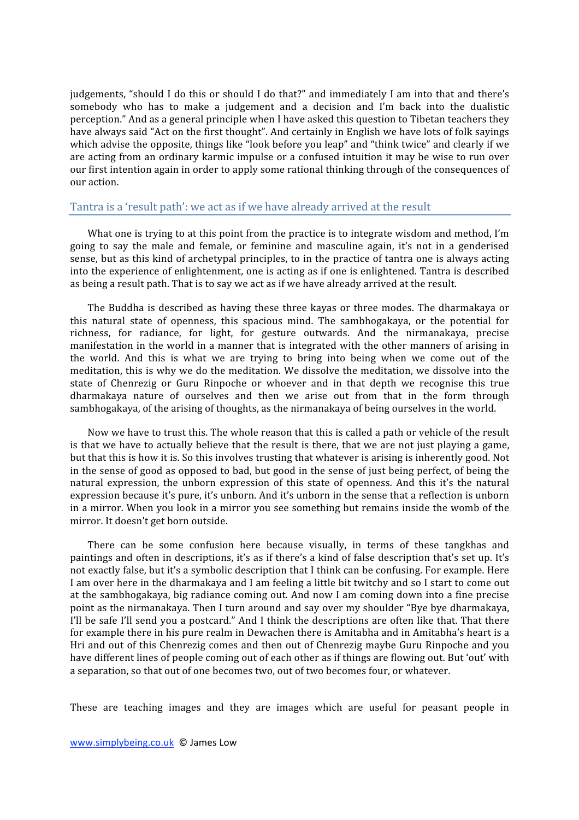judgements, "should I do this or should I do that?" and immediately I am into that and there's somebody who has to make a judgement and a decision and I'm back into the dualistic perception."
And
as
a
general
principle
when
I
have
asked
this
question
to
Tibetan
teachers
they have always said "Act on the first thought". And certainly in English we have lots of folk sayings which advise the opposite, things like "look before you leap" and "think twice" and clearly if we are
acting
 from
an
ordinary
karmic
impulse
or
a
confused
intuition
it
may
be
wise
to
run
over our
first
intention
again
in
order
to
apply
some
rational
thinking
through
of
the
consequences
of our
action.

## Tantra is a 'result path': we act as if we have already arrived at the result

What one is trying to at this point from the practice is to integrate wisdom and method, I'm going
 to
 say
 the
 male
 and
 female,
 or
 feminine
 and
 masculine
 again,
 it's
 not
 in
 a
 genderised sense, but as this kind of archetypal principles, to in the practice of tantra one is always acting into
the
experience
of
enlightenment,
one
is
acting
as
if
one
is
enlightened.
Tantra
is
described as being a result path. That is to say we act as if we have already arrived at the result.

The Buddha is described as having these three kayas or three modes. The dharmakaya or this natural state of openness, this spacious mind. The sambhogakaya, or the potential for richness, for radiance, for light, for gesture outwards. And the nirmanakaya, precise manifestation in the world in a manner that is integrated with the other manners of arising in the world. And this is what we are trying to bring into being when we come out of the meditation, this is why we do the meditation. We dissolve the meditation, we dissolve into the state of Chenrezig or Guru Rinpoche or whoever and in that depth we recognise this true dharmakaya nature of ourselves and then we arise out from that in the form through sambhogakaya, of the arising of thoughts, as the nirmanakaya of being ourselves in the world.

Now we have to trust this. The whole reason that this is called a path or vehicle of the result is that we have to actually believe that the result is there, that we are not just playing a game, but that this is how it is. So this involves trusting that whatever is arising is inherently good. Not in the sense of good as opposed to bad, but good in the sense of just being perfect, of being the natural expression, the unborn expression of this state of openness. And this it's the natural expression because it's pure, it's unborn. And it's unborn in the sense that a reflection is unborn in a mirror. When you look in a mirror you see something but remains inside the womb of the mirror.
It
doesn't
get
born
outside.

There can be some confusion here because visually, in terms of these tangkhas and paintings and often in descriptions, it's as if there's a kind of false description that's set up. It's not exactly false, but it's a symbolic description that I think can be confusing. For example. Here I am over here in the dharmakaya and I am feeling a little bit twitchy and so I start to come out at
the
sambhogakaya,
big
radiance
coming
out.
And
now
 I
am
coming
down
into
a
 fine
precise point
as
the
nirmanakaya.
Then
I
turn
around
and
say
over
my
shoulder
"Bye
bye
dharmakaya, I'll be safe I'll send you a postcard." And I think the descriptions are often like that. That there for example there in his pure realm in Dewachen there is Amitabha and in Amitabha's heart is a Hri and out of this Chenrezig comes and then out of Chenrezig maybe Guru Rinpoche and you have different lines of people coming out of each other as if things are flowing out. But 'out' with a separation, so that out of one becomes two, out of two becomes four, or whatever.

These are teaching images and they are images which are useful for peasant people in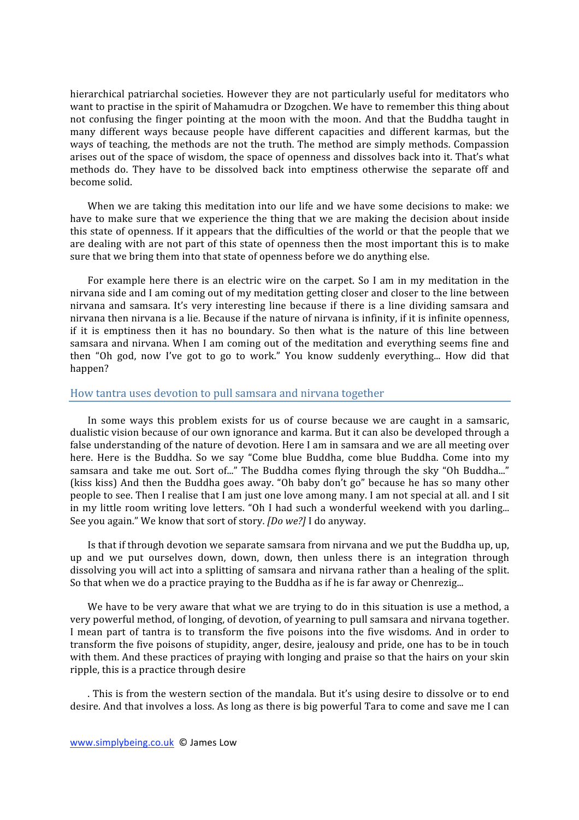hierarchical patriarchal societies. However they are not particularly useful for meditators who want to practise in the spirit of Mahamudra or Dzogchen. We have to remember this thing about not confusing the finger pointing at the moon with the moon. And that the Buddha taught in many different ways because people have different capacities and different karmas, but the ways of teaching, the methods are not the truth. The method are simply methods. Compassion arises
out
of
the
space
of
wisdom,
the
space
of
openness
and
dissolves
back
into
it.
That's
what methods do. They have to be dissolved back into emptiness otherwise the separate off and become
solid.

When we are taking this meditation into our life and we have some decisions to make: we have to make sure that we experience the thing that we are making the decision about inside this state of openness. If it appears that the difficulties of the world or that the people that we are dealing with are not part of this state of openness then the most important this is to make sure
that
we
bring
them
into
that
state
of
openness
before
we
do
anything
else.

For example here there is an electric wire on the carpet. So I am in my meditation in the nirvana side and I am coming out of my meditation getting closer and closer to the line between nirvana and samsara. It's very interesting line because if there is a line dividing samsara and nirvana then nirvana is a lie. Because if the nature of nirvana is infinity, if it is infinite openness, if it is emptiness then it has no boundary. So then what is the nature of this line between samsara and nirvana. When I am coming out of the meditation and everything seems fine and then "Oh god, now I've got to go to work." You know suddenly everything... How did that happen?

#### How
tantra
uses
devotion
to
pull
samsara
and
nirvana
together

In some ways this problem exists for us of course because we are caught in a samsaric, dualistic vision because of our own ignorance and karma. But it can also be developed through a false understanding of the nature of devotion. Here I am in samsara and we are all meeting over here. Here is the Buddha. So we say "Come blue Buddha, come blue Buddha. Come into my samsara and take me out. Sort of..." The Buddha comes flying through the sky "Oh Buddha..." (kiss
kiss)
And
 then
 the
Buddha
goes
away.
 "Oh
baby
don't
go"
because
he
has
so
many
other people to see. Then I realise that I am just one love among many. I am not special at all. and I sit in my little room writing love letters. "Oh I had such a wonderful weekend with you darling... See you again." We know that sort of story. *[Do we?]* I do anyway.

Is that if through devotion we separate samsara from nirvana and we put the Buddha up, up, up and we put ourselves down, down, down, then unless there is an integration through dissolving you will act into a splitting of samsara and nirvana rather than a healing of the split. So that when we do a practice praying to the Buddha as if he is far away or Chenrezig...

We have to be very aware that what we are trying to do in this situation is use a method, a very
powerful
method,
of
longing,
of
devotion,
of
yearning
to
pull
samsara
and
nirvana
together. I mean part of tantra is to transform the five poisons into the five wisdoms. And in order to transform
the
five
poisons
of
stupidity,
anger,
desire,
jealousy
and
pride,
one
has
to
be
in
touch with them. And these practices of praying with longing and praise so that the hairs on your skin ripple,
this
is
a
practice
through
desire

. This is from the western section of the mandala. But it's using desire to dissolve or to end desire. And that involves a loss. As long as there is big powerful Tara to come and save me I can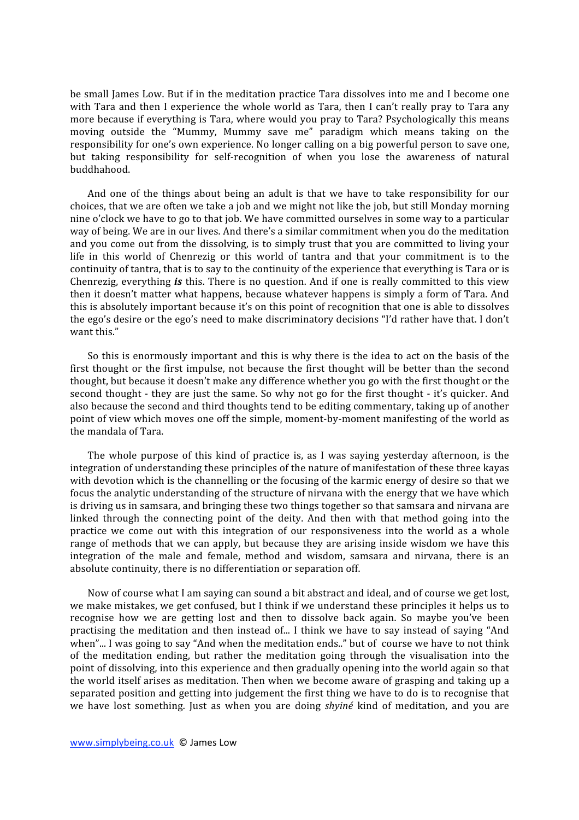be small lames Low. But if in the meditation practice Tara dissolves into me and I become one with Tara and then I experience the whole world as Tara, then I can't really pray to Tara any more
because
if
everything
is
Tara,
where
would
you
pray
to
Tara?
Psychologically
this
means moving outside the "Mummy, Mummy save me" paradigm which means taking on the responsibility for one's own experience. No longer calling on a big powerful person to save one, but taking responsibility for self-recognition of when you lose the awareness of natural buddhahood.

And one of the things about being an adult is that we have to take responsibility for our choices,
that
we
are
often
we
take
a
job
and
we
might
not
like
the
job,
but
still
Monday
morning nine o'clock we have to go to that job. We have committed ourselves in some way to a particular way of being. We are in our lives. And there's a similar commitment when you do the meditation and you come out from the dissolving, is to simply trust that you are committed to living your life in this world of Chenrezig or this world of tantra and that your commitment is to the continuity of tantra, that is to say to the continuity of the experience that everything is Tara or is Chenrezig, everything *is* this. There is no question. And if one is really committed to this view then it doesn't matter what happens, because whatever happens is simply a form of Tara. And this is absolutely important because it's on this point of recognition that one is able to dissolves the
ego's
desire
or
the
ego's
need
to
make
discriminatory
decisions
"I'd
rather
have
that.
I
don't want this"

So this is enormously important and this is why there is the idea to act on the basis of the first thought or the first impulse, not because the first thought will be better than the second thought, but because it doesn't make any difference whether you go with the first thought or the second thought - they are just the same. So why not go for the first thought - it's quicker. And also
because
the
second
and
third
thoughts
tend
to
be
editing
commentary,
taking
up
of
another point of view which moves one off the simple, moment-by-moment manifesting of the world as the
mandala
of
Tara.

The whole purpose of this kind of practice is, as I was saying yesterday afternoon, is the integration
of
understanding
these
principles
of
the
nature
of
manifestation
of
these
three
kayas with devotion which is the channelling or the focusing of the karmic energy of desire so that we focus the analytic understanding of the structure of nirvana with the energy that we have which is driving us in samsara, and bringing these two things together so that samsara and nirvana are linked through the connecting point of the deity. And then with that method going into the practice we come out with this integration of our responsiveness into the world as a whole range of methods that we can apply, but because they are arising inside wisdom we have this integration of the male and female, method and wisdom, samsara and nirvana, there is an absolute
continuity,
there
is
no
differentiation
or
separation
off.

Now of course what I am saying can sound a bit abstract and ideal, and of course we get lost. we make mistakes, we get confused, but I think if we understand these principles it helps us to recognise how we are getting lost and then to dissolve back again. So maybe you've been practising the meditation and then instead of... I think we have to say instead of saying "And when"... I was going to say "And when the meditation ends.." but of course we have to not think of the meditation ending, but rather the meditation going through the visualisation into the point of dissolving, into this experience and then gradually opening into the world again so that the world itself arises as meditation. Then when we become aware of grasping and taking up a separated position and getting into judgement the first thing we have to do is to recognise that we have lost something. Just as when you are doing *shyiné* kind of meditation, and you are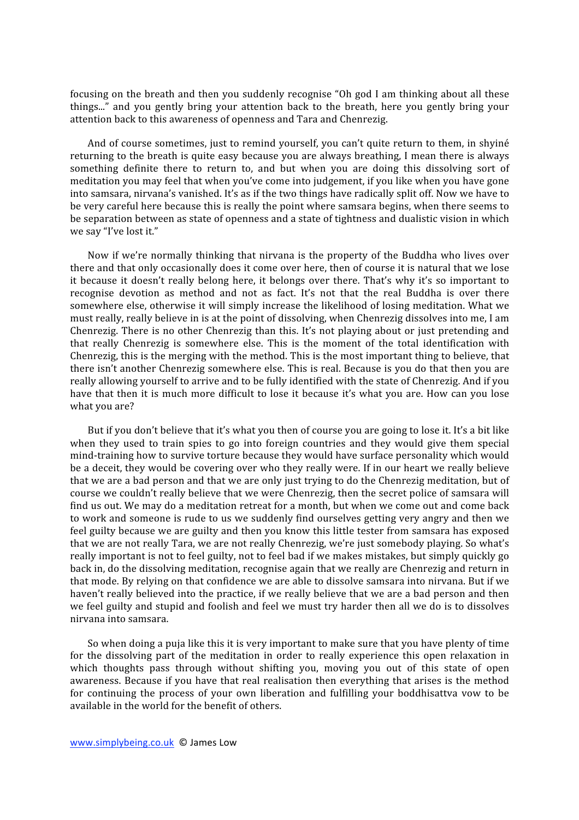focusing on the breath and then you suddenly recognise "Oh god I am thinking about all these things..." and you gently bring your attention back to the breath, here you gently bring your attention back to this awareness of openness and Tara and Chenrezig.

And of course sometimes, just to remind yourself, you can't quite return to them, in shyiné returning to the breath is quite easy because you are always breathing, I mean there is always something definite there to return to, and but when you are doing this dissolving sort of meditation
you
may
feel
that
when
you've
come
into
judgement,
if
you
like
when
you
have
gone into samsara, nirvana's vanished. It's as if the two things have radically split off. Now we have to be
very
careful
here
because
this
is
really
the
point
where
samsara
begins,
when
there
seems
to be separation between as state of openness and a state of tightness and dualistic vision in which we say "I've lost it."

Now if we're normally thinking that nirvana is the property of the Buddha who lives over there and that only occasionally does it come over here, then of course it is natural that we lose it because it doesn't really belong here, it belongs over there. That's why it's so important to recognise devotion as method and not as fact. It's not that the real Buddha is over there somewhere else, otherwise it will simply increase the likelihood of losing meditation. What we must really, really believe in is at the point of dissolving, when Chenrezig dissolves into me, I am Chenrezig. There is no other Chenrezig than this. It's not playing about or just pretending and that
 really
 Chenrezig
 is
 somewhere
 else.
 This
 is
 the
 moment
 of
 the
 total
 identification
 with Chenrezig, this is the merging with the method. This is the most important thing to believe, that there isn't another Chenrezig somewhere else. This is real. Because is you do that then you are really allowing yourself to arrive and to be fully identified with the state of Chenrezig. And if you have that then it is much more difficult to lose it because it's what you are. How can you lose what
you
are?

But if you don't believe that it's what you then of course you are going to lose it. It's a bit like when they used to train spies to go into foreign countries and they would give them special mind-training how to survive torture because they would have surface personality which would be a deceit, they would be covering over who they really were. If in our heart we really believe that we are a bad person and that we are only just trying to do the Chenrezig meditation, but of course
we
couldn't
really
believe
that
we
were
Chenrezig,
then
the
secret
police
of
samsara
will find us out. We may do a meditation retreat for a month, but when we come out and come back to work and someone is rude to us we suddenly find ourselves getting very angry and then we feel guilty because we are guilty and then you know this little tester from samsara has exposed that
we
are
not
really
Tara,
we
are
not
really
Chenrezig,
we're
just
somebody
playing.
So
what's really important is not to feel guilty, not to feel bad if we makes mistakes, but simply quickly go back in, do the dissolving meditation, recognise again that we really are Chenrezig and return in that
mode.
By
relying
on
that
confidence
we
are
able
to
dissolve
samsara
into
nirvana.
But
if
we haven't really believed into the practice, if we really believe that we are a bad person and then we feel guilty and stupid and foolish and feel we must try harder then all we do is to dissolves nirvana
into
samsara.

So when doing a puja like this it is very important to make sure that you have plenty of time for the dissolving part of the meditation in order to really experience this open relaxation in which thoughts pass through without shifting you, moving you out of this state of open awareness. Because if you have that real realisation then everything that arises is the method for continuing the process of your own liberation and fulfilling your boddhisattva yow to be available
in
the
world
for
the
benefit
of
others.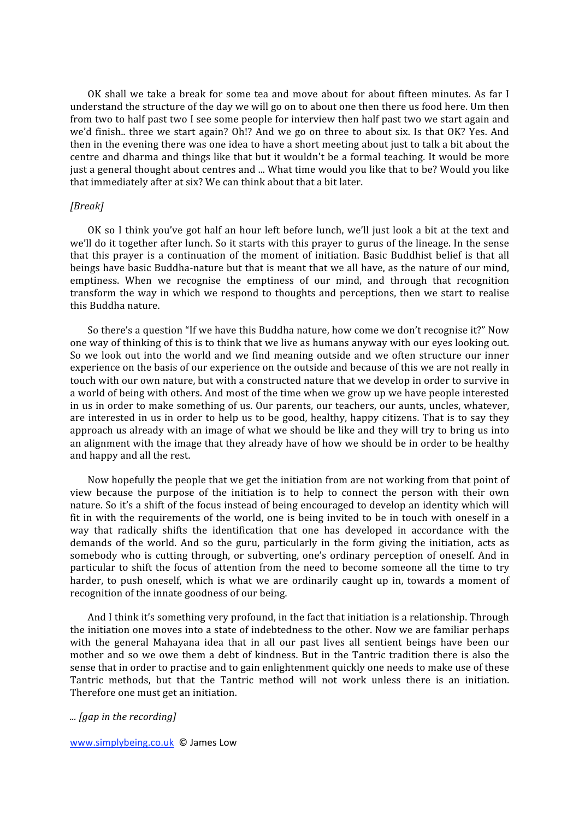OK shall we take a break for some tea and move about for about fifteen minutes. As far I understand the structure of the day we will go on to about one then there us food here. Um then from two to half past two I see some people for interview then half past two we start again and we'd finish.. three we start again? Oh!? And we go on three to about six. Is that OK? Yes. And then in the evening there was one idea to have a short meeting about just to talk a bit about the centre and dharma and things like that but it wouldn't be a formal teaching. It would be more just a general thought about centres and ... What time would you like that to be? Would you like that
immediately
after
at
six?
We
can
think
about
that
a
bit
later.

## *[Break]*

OK so I think you've got half an hour left before lunch, we'll just look a bit at the text and we'll do it together after lunch. So it starts with this prayer to gurus of the lineage. In the sense that this prayer is a continuation of the moment of initiation. Basic Buddhist belief is that all beings have basic Buddha-nature but that is meant that we all have, as the nature of our mind, emptiness. When we recognise the emptiness of our mind, and through that recognition transform the way in which we respond to thoughts and perceptions, then we start to realise this
Buddha
nature.

So there's a question "If we have this Buddha nature, how come we don't recognise it?" Now one way of thinking of this is to think that we live as humans anyway with our eyes looking out. So we look out into the world and we find meaning outside and we often structure our inner experience on the basis of our experience on the outside and because of this we are not really in touch with our own nature, but with a constructed nature that we develop in order to survive in a world of being with others. And most of the time when we grow up we have people interested in us in order to make something of us. Our parents, our teachers, our aunts, uncles, whatever, are interested in us in order to help us to be good, healthy, happy citizens. That is to say they approach us already with an image of what we should be like and they will try to bring us into an alignment with the image that they already have of how we should be in order to be healthy and
happy
and
all
the
rest.

Now hopefully the people that we get the initiation from are not working from that point of view because the purpose of the initiation is to help to connect the person with their own nature. So it's a shift of the focus instead of being encouraged to develop an identity which will fit in with the requirements of the world, one is being invited to be in touch with oneself in a way that radically shifts the identification that one has developed in accordance with the demands of the world. And so the guru, particularly in the form giving the initiation, acts as somebody who is cutting through, or subverting, one's ordinary perception of oneself. And in particular to shift the focus of attention from the need to become someone all the time to try harder, to push oneself, which is what we are ordinarily caught up in, towards a moment of recognition
of
the
innate
goodness
of
our
being.

And I think it's something very profound, in the fact that initiation is a relationship. Through the
initiation
one
moves
into
a
state
of
indebtedness
to
the
other.
Now
we
are
familiar
perhaps with the general Mahayana idea that in all our past lives all sentient beings have been our mother and so we owe them a debt of kindness. But in the Tantric tradition there is also the sense that in order to practise and to gain enlightenment quickly one needs to make use of these Tantric methods, but that the Tantric method will not work unless there is an initiation. Therefore
one
must
get
an
initiation.

*...
[gap
in
the
recording]*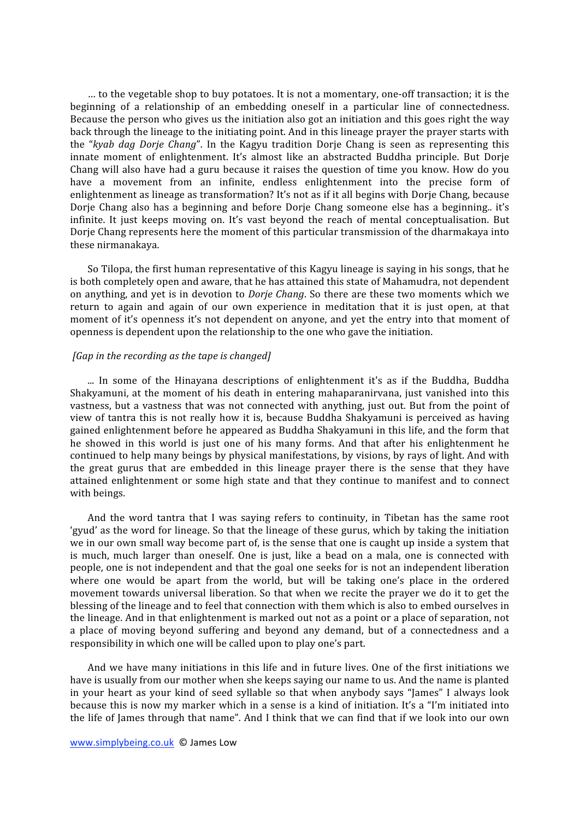... to the vegetable shop to buy potatoes. It is not a momentary, one-off transaction; it is the beginning of a relationship of an embedding oneself in a particular line of connectedness. Because the person who gives us the initiation also got an initiation and this goes right the way back through the lineage to the initiating point. And in this lineage prayer the prayer starts with the "kyab dag Dorje Chang". In the Kagyu tradition Dorje Chang is seen as representing this innate moment of enlightenment. It's almost like an abstracted Buddha principle. But Dorje Chang will also have had a guru because it raises the question of time you know. How do you have a movement from an infinite, endless enlightenment into the precise form of enlightenment as lineage as transformation? It's not as if it all begins with Dorje Chang, because Dorje Chang also has a beginning and before Dorje Chang someone else has a beginning.. it's infinite. It just keeps moving on. It's vast beyond the reach of mental conceptualisation. But Dorje Chang represents here the moment of this particular transmission of the dharmakaya into these
nirmanakaya.

So Tilopa, the first human representative of this Kagyu lineage is saying in his songs, that he is
both
completely
open
and
aware,
that
he
has
attained
this
state
of
Mahamudra,
not
dependent on anything, and yet is in devotion to *Dorje Chang*. So there are these two moments which we return to again and again of our own experience in meditation that it is just open, at that moment of it's openness it's not dependent on anyone, and yet the entry into that moment of openness
is
dependent
upon
the
relationship
to
the
one
who
gave
the
initiation.

## *[Gap
in
the
recording
as
the
tape
is
changed]*

... In some of the Hinayana descriptions of enlightenment it's as if the Buddha, Buddha Shakyamuni, at the moment of his death in entering mahaparaniryana, just vanished into this vastness, but a vastness that was not connected with anything, just out. But from the point of view of tantra this is not really how it is, because Buddha Shakyamuni is perceived as having gained
enlightenment
before
he
appeared
as
Buddha
Shakyamuni
in
this
life,
and
the
form
that he showed in this world is just one of his many forms. And that after his enlightenment he continued
to
help
many
beings
by
physical
manifestations,
by
visions,
by
rays
of
light.
And
with the great gurus that are embedded in this lineage prayer there is the sense that they have attained enlightenment or some high state and that they continue to manifest and to connect with
beings.

And the word tantra that I was saying refers to continuity, in Tibetan has the same root 'gyud' as the word for lineage. So that the lineage of these gurus, which by taking the initiation we in our own small way become part of, is the sense that one is caught up inside a system that is much, much larger than oneself. One is just, like a bead on a mala, one is connected with people,
one
is
not
independent
and
that
the
goal
one
seeks
for
is
not
an
independent
liberation where one would be apart from the world, but will be taking one's place in the ordered movement towards universal liberation. So that when we recite the prayer we do it to get the blessing of the lineage and to feel that connection with them which is also to embed ourselves in the
lineage.
And
in
that
enlightenment
is
marked
out
not
as
a
point
or
a
place
of
separation,
not a place of moving beyond suffering and beyond any demand, but of a connectedness and a responsibility
in
which
one
will
be
called
upon
to
play
one's
part.

And we have many initiations in this life and in future lives. One of the first initiations we have is usually from our mother when she keeps saying our name to us. And the name is planted in your heart as your kind of seed syllable so that when anybody says "James" I always look because this is now my marker which in a sense is a kind of initiation. It's a "I'm initiated into the life of James through that name". And I think that we can find that if we look into our own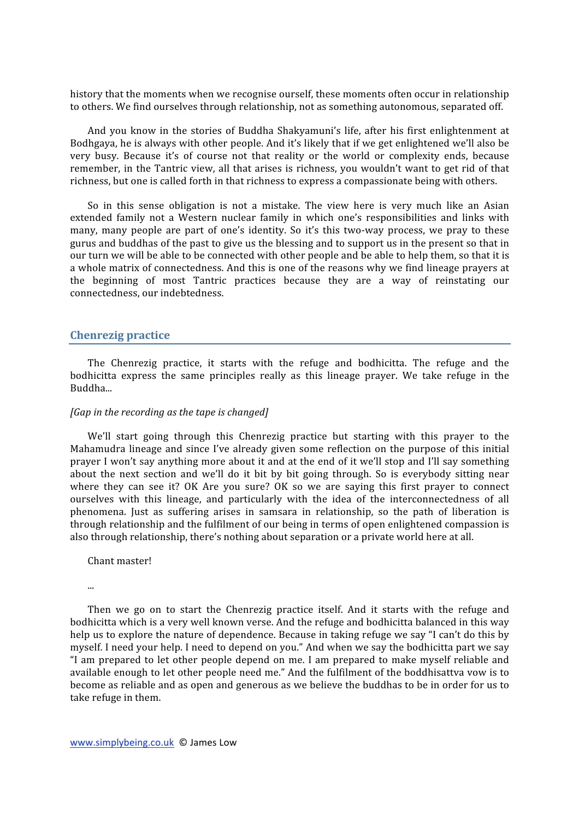history that the moments when we recognise ourself, these moments often occur in relationship to others. We find ourselves through relationship, not as something autonomous, separated off.

And you know in the stories of Buddha Shakyamuni's life, after his first enlightenment at Bodhgaya, he is always with other people. And it's likely that if we get enlightened we'll also be very busy. Because it's of course not that reality or the world or complexity ends, because remember, in the Tantric view, all that arises is richness, you wouldn't want to get rid of that richness, but one is called forth in that richness to express a compassionate being with others.

So in this sense obligation is not a mistake. The view here is very much like an Asian extended family not a Western nuclear family in which one's responsibilities and links with many, many people are part of one's identity. So it's this two-way process, we pray to these gurus
and
buddhas
of
the
past
to
give
us
the
blessing
and
to
support
us
in
the
present
so
that
in our turn we will be able to be connected with other people and be able to help them, so that it is a whole matrix of connectedness. And this is one of the reasons why we find lineage prayers at the beginning of most Tantric practices because they are a way of reinstating our connectedness,
our
indebtedness.

## **Chenrezig
practice**

The Chenrezig practice, it starts with the refuge and bodhicitta. The refuge and the bodhicitta express the same principles really as this lineage prayer. We take refuge in the Buddha...

#### *[Gap
in
the
recording
as
the
tape
is
changed]*

We'll start going through this Chenrezig practice but starting with this prayer to the Mahamudra lineage and since I've already given some reflection on the purpose of this initial prayer I won't say anything more about it and at the end of it we'll stop and I'll say something about the next section and we'll do it bit by bit going through. So is everybody sitting near where they can see it? OK Are you sure? OK so we are saying this first prayer to connect ourselves with this lineage, and particularly with the idea of the interconnectedness of all phenomena. Just as suffering arises in samsara in relationship, so the path of liberation is through
relationship
and
the
fulfilment
of
our
being
in
terms
of
open
enlightened
compassion
is also through relationship, there's nothing about separation or a private world here at all.

Chant
master!

...

Then we go on to start the Chenrezig practice itself. And it starts with the refuge and bodhicitta which is a very well known verse. And the refuge and bodhicitta balanced in this way help us to explore the nature of dependence. Because in taking refuge we say "I can't do this by myself. I need your help. I need to depend on you." And when we say the bodhicitta part we say "I am prepared to let other people depend on me. I am prepared to make myself reliable and available enough to let other people need me." And the fulfilment of the boddhisattva vow is to become as reliable and as open and generous as we believe the buddhas to be in order for us to take
refuge
in
them.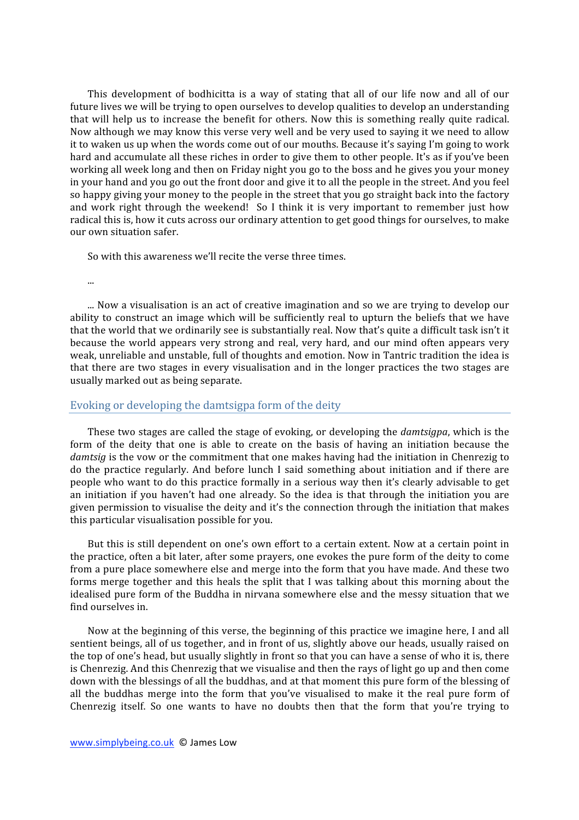This development of bodhicitta is a way of stating that all of our life now and all of our future lives we will be trying to open ourselves to develop qualities to develop an understanding that will help us to increase the benefit for others. Now this is something really quite radical. Now although we may know this verse very well and be very used to saying it we need to allow it to waken us up when the words come out of our mouths. Because it's saying I'm going to work hard and accumulate all these riches in order to give them to other people. It's as if you've been working all week long and then on Friday night you go to the boss and he gives you your money in your hand and you go out the front door and give it to all the people in the street. And you feel so happy giving your money to the people in the street that you go straight back into the factory and work right through the weekend! So I think it is very important to remember just how radical this is, how it cuts across our ordinary attention to get good things for ourselves, to make our
own
situation
safer.

So
with
this
awareness
we'll
recite
the
verse
three
times.

...

... Now a visualisation is an act of creative imagination and so we are trying to develop our ability to construct an image which will be sufficiently real to upturn the beliefs that we have that the world that we ordinarily see is substantially real. Now that's quite a difficult task isn't it because the world appears very strong and real, very hard, and our mind often appears very weak, unreliable and unstable, full of thoughts and emotion. Now in Tantric tradition the idea is that there are two stages in every visualisation and in the longer practices the two stages are usually
marked
out
as
being
separate.

## Evoking
or
developing
the
damtsigpa
form
of
the
deity

These two stages are called the stage of evoking, or developing the *damtsigpa*, which is the form of the deity that one is able to create on the basis of having an initiation because the damtsig is the vow or the commitment that one makes having had the initiation in Chenrezig to do the practice regularly. And before lunch I said something about initiation and if there are people who want to do this practice formally in a serious way then it's clearly advisable to get an initiation if you haven't had one already. So the idea is that through the initiation you are given permission to visualise the deity and it's the connection through the initiation that makes this
particular
visualisation
possible
for
you.

But this is still dependent on one's own effort to a certain extent. Now at a certain point in the
practice,
often
a
bit
later,
after
some
prayers,
one
evokes
the
pure
form
of
the
deity
to
come from a pure place somewhere else and merge into the form that you have made. And these two forms merge together and this heals the split that I was talking about this morning about the idealised pure form of the Buddha in nirvana somewhere else and the messy situation that we find
ourselves
in.

Now at the beginning of this verse, the beginning of this practice we imagine here, I and all sentient beings, all of us together, and in front of us, slightly above our heads, usually raised on the top of one's head, but usually slightly in front so that you can have a sense of who it is, there is Chenrezig. And this Chenrezig that we visualise and then the rays of light go up and then come down with the blessings of all the buddhas, and at that moment this pure form of the blessing of all the buddhas merge into the form that you've visualised to make it the real pure form of Chenrezig itself. So one wants to have no doubts then that the form that you're trying to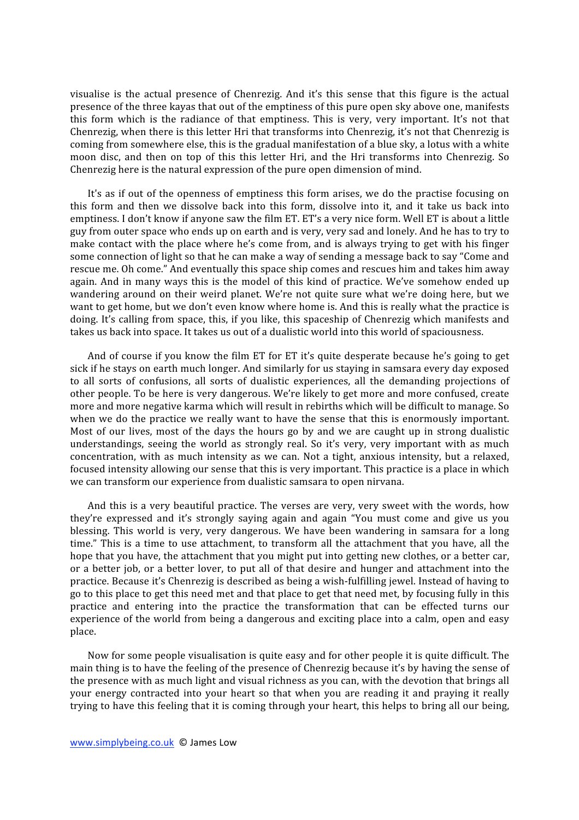visualise is the actual presence of Chenrezig. And it's this sense that this figure is the actual presence
of
the
three
kayas
that
out
of
the
emptiness
of
this
pure
open
sky
above
one,
manifests this form which is the radiance of that emptiness. This is very, very important. It's not that Chenrezig, when there is this letter Hri that transforms into Chenrezig, it's not that Chenrezig is coming
from
somewhere
else,
this
is
the
gradual
manifestation
of
a
blue
sky,
a
lotus
with
a
white moon disc, and then on top of this this letter Hri, and the Hri transforms into Chenrezig. So Chenrezig here is the natural expression of the pure open dimension of mind.

It's as if out of the openness of emptiness this form arises, we do the practise focusing on this form and then we dissolve back into this form, dissolve into it, and it take us back into emptiness. I don't know if anyone saw the film ET. ET's a very nice form. Well ET is about a little guy
from
outer
space
who
ends
up
on
earth
and
is
very,
very
sad
and
lonely.
And
he
has
to
try
to make contact with the place where he's come from, and is always trying to get with his finger some connection of light so that he can make a way of sending a message back to say "Come and rescue me. Oh come." And eventually this space ship comes and rescues him and takes him away again. And in many ways this is the model of this kind of practice. We've somehow ended up wandering around on their weird planet. We're not quite sure what we're doing here, but we want to get home, but we don't even know where home is. And this is really what the practice is doing. It's calling from space, this, if you like, this spaceship of Chenrezig which manifests and takes us back into space. It takes us out of a dualistic world into this world of spaciousness.

And of course if you know the film ET for ET it's quite desperate because he's going to get sick if he stays on earth much longer. And similarly for us staying in samsara every day exposed to all sorts of confusions, all sorts of dualistic experiences, all the demanding projections of other
people.
To
be
here
is
very
dangerous.
We're
likely
to
get
more
and
more
confused,
create more
and
more
negative
karma
which
will
result
in
rebirths
which
will
be
difficult
to
manage.
So when we do the practice we really want to have the sense that this is enormously important. Most of our lives, most of the days the hours go by and we are caught up in strong dualistic understandings, seeing the world as strongly real. So it's very, very important with as much concentration,
with
 as
much
intensity
 as
we
 can.
Not
 a
 tight,
 anxious
intensity,
 but
 a
 relaxed, focused intensity allowing our sense that this is very important. This practice is a place in which we
can
transform
our
experience
from
dualistic
samsara
to
open
nirvana.

And this is a very beautiful practice. The verses are very, very sweet with the words, how they're expressed and it's strongly saying again and again "You must come and give us you blessing. This world is very, very dangerous. We have been wandering in samsara for a long time." This is a time to use attachment, to transform all the attachment that you have, all the hope that you have, the attachment that you might put into getting new clothes, or a better car, or a better job, or a better lover, to put all of that desire and hunger and attachment into the practice.
Because
it's
Chenrezig
is
described
as
being
a
wish‐fulfilling
jewel.
Instead
of
having
to go to this place to get this need met and that place to get that need met, by focusing fully in this practice and entering into the practice the transformation that can be effected turns our experience of the world from being a dangerous and exciting place into a calm, open and easy place.

Now for some people visualisation is quite easy and for other people it is quite difficult. The main thing is to have the feeling of the presence of Chenrezig because it's by having the sense of the presence with as much light and visual richness as you can, with the devotion that brings all your energy contracted into your heart so that when you are reading it and praying it really trying to have this feeling that it is coming through your heart, this helps to bring all our being,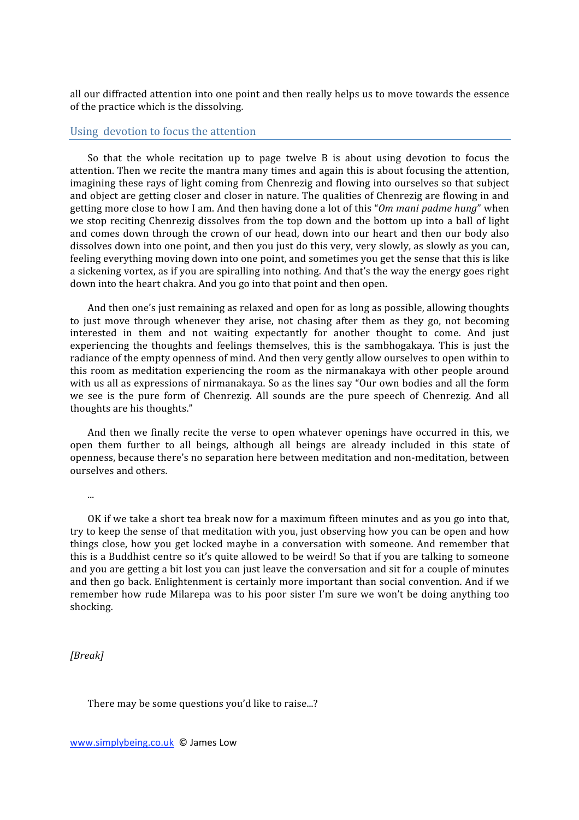all
our
diffracted
attention
into
one
point
and
then
really
helps
us
to
move
towards
the
essence of
the
practice
which
is
the
dissolving.

## Using

devotion
to
focus
the
attention

So that the whole recitation up to page twelve B is about using devotion to focus the attention.
Then
we
recite
the
mantra
many
times
and
again
this
is
about
focusing
the
attention, imagining these rays of light coming from Chenrezig and flowing into ourselves so that subject and object are getting closer and closer in nature. The qualities of Chenrezig are flowing in and getting
more
close
to
how
I
am.
And
then
having
done
a
lot
of
this
"*Om
mani
padme
hung*"
when we stop reciting Chenrezig dissolves from the top down and the bottom up into a ball of light and comes down through the crown of our head, down into our heart and then our body also dissolves down into one point, and then you just do this very, very slowly, as slowly as you can, feeling everything moving down into one point, and sometimes you get the sense that this is like a sickening vortex, as if you are spiralling into nothing. And that's the way the energy goes right down
into
the
heart
chakra.
And
you
go
into
that
point
and
then
open.

And
then
one's
just
remaining
as
relaxed
and
open
for
as
long
as
possible,
allowing
thoughts to just move through whenever they arise, not chasing after them as they go, not becoming interested in them and not waiting expectantly for another thought to come. And just experiencing the thoughts and feelings themselves, this is the sambhogakaya. This is just the radiance of the empty openness of mind. And then very gently allow ourselves to open within to this
 room
as
meditation
experiencing
 the
 room
as
 the
nirmanakaya
with
other
people
around with us all as expressions of nirmanakaya. So as the lines say "Our own bodies and all the form we see is the pure form of Chenrezig. All sounds are the pure speech of Chenrezig. And all thoughts
are
his
thoughts."

And then we finally recite the verse to open whatever openings have occurred in this, we open them further to all beings, although all beings are already included in this state of openness,
because
there's
no
separation
here
between
meditation
and
non‐meditation,
between ourselves
and
others.

...

OK if we take a short tea break now for a maximum fifteen minutes and as you go into that. try to keep the sense of that meditation with you, just observing how you can be open and how things close, how you get locked maybe in a conversation with someone. And remember that this is a Buddhist centre so it's quite allowed to be weird! So that if you are talking to someone and you are getting a bit lost you can just leave the conversation and sit for a couple of minutes and
then
go
back.
Enlightenment
is
certainly
more
important
than
social
convention.
And
if
we remember how rude Milarepa was to his poor sister I'm sure we won't be doing anything too shocking.

## *[Break]*

There
may
be
some
questions
you'd
like
to
raise...?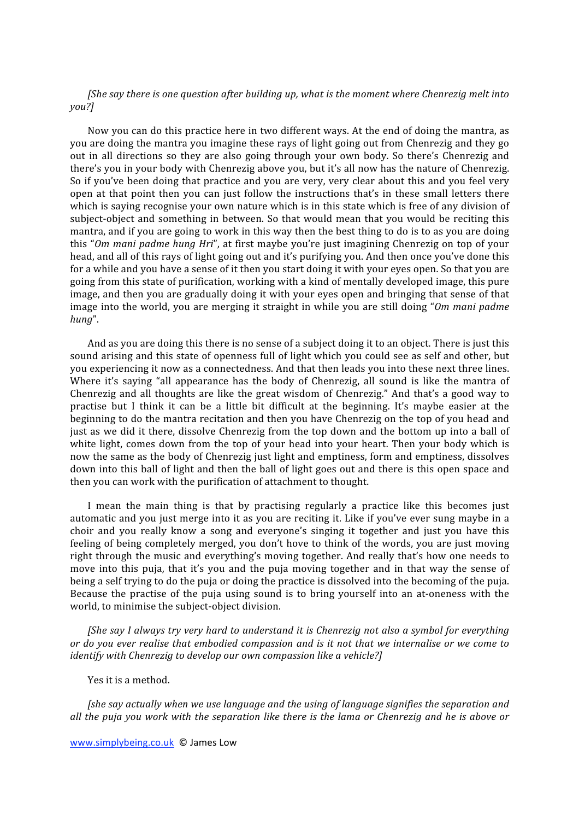*[She
say
there
is
one
question
after
building
up,
what
is
the
moment
where
Chenrezig
melt
into you?]*

Now you can do this practice here in two different ways. At the end of doing the mantra, as you are doing the mantra you imagine these rays of light going out from Chenrezig and they go out in all directions so they are also going through your own body. So there's Chenrezig and there's you in your body with Chenrezig above you, but it's all now has the nature of Chenrezig. So if you've been doing that practice and you are very, very clear about this and you feel very open at that point then you can just follow the instructions that's in these small letters there which is saying recognise your own nature which is in this state which is free of any division of subject-object and something in between. So that would mean that you would be reciting this mantra, and if you are going to work in this way then the best thing to do is to as you are doing this "Om mani padme hung Hri", at first maybe you're just imagining Chenrezig on top of your head, and all of this rays of light going out and it's purifying you. And then once you've done this for a while and you have a sense of it then you start doing it with your eyes open. So that you are going
from
this
state
of
purification,
working
with
a
kind
of
mentally
developed
image,
this
pure image, and then you are gradually doing it with your eyes open and bringing that sense of that image into the world, you are merging it straight in while you are still doing "Om mani padme" *hung*".

And as you are doing this there is no sense of a subject doing it to an object. There is just this sound arising and this state of openness full of light which you could see as self and other, but you
experiencing
it
now
as
a
connectedness.
And
that
then
leads
you
into
these
next
three
lines. Where it's saying "all appearance has the body of Chenrezig, all sound is like the mantra of Chenrezig and all thoughts are like the great wisdom of Chenrezig." And that's a good way to practise but I think it can be a little bit difficult at the beginning. It's maybe easier at the beginning to do the mantra recitation and then you have Chenrezig on the top of you head and just as we did it there, dissolve Chenrezig from the top down and the bottom up into a ball of white light, comes down from the top of your head into your heart. Then your body which is now
the
same
as
the
body
of
Chenrezig
just
light
and
emptiness,
form
and
emptiness,
dissolves down into this ball of light and then the ball of light goes out and there is this open space and then
you
can
work
with
the
purification
of
attachment
to
thought.

I mean the main thing is that by practising regularly a practice like this becomes just automatic and you just merge into it as you are reciting it. Like if you've ever sung maybe in a choir and you really know a song and everyone's singing it together and just you have this feeling of being completely merged, you don't hove to think of the words, you are just moving right through the music and everything's moving together. And really that's how one needs to move into this puja, that it's you and the puja moving together and in that way the sense of being a self trying to do the puja or doing the practice is dissolved into the becoming of the puja. Because the practise of the puja using sound is to bring yourself into an at-oneness with the world,
to
minimise
the
subject‐object
division.

*[She
say
I
always
try
very
hard
to
understand
it
is
Chenrezig
not
also
a
symbol
for
everything*  or do you ever realise that embodied compassion and is it not that we internalise or we come to *identify with Chenrezig to develop our own compassion like a vehicle?]* 

Yes
it
is
a
method.

*[she
say
actually
when
we
use
language
and
the
using
of
language
signifies
the
separation
and*  all the puja you work with the separation like there is the lama or Chenrezig and he is above or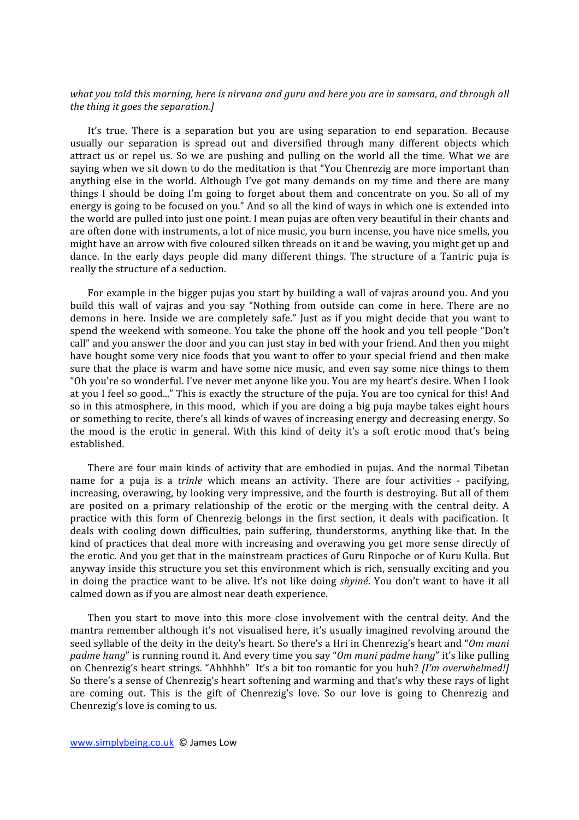## what you told this morning, here is nirvang and guru and here you are in samsara, and through all *the
thing
it
goes
the
separation.]*

It's true. There is a separation but you are using separation to end separation. Because usually our separation is spread out and diversified through many different objects which attract us or repel us. So we are pushing and pulling on the world all the time. What we are saying when we sit down to do the meditation is that "You Chenrezig are more important than anything else in the world. Although I've got many demands on my time and there are many things I should be doing I'm going to forget about them and concentrate on you. So all of my energy is going to be focused on you." And so all the kind of ways in which one is extended into the world are pulled into just one point. I mean pujas are often very beautiful in their chants and are often done with instruments, a lot of nice music, you burn incense, you have nice smells, you might have an arrow with five coloured silken threads on it and be waving, you might get up and dance. In the early days people did many different things. The structure of a Tantric puja is really
the
structure
of
a
seduction.

For example in the bigger pujas you start by building a wall of vajras around you. And you build this wall of vajras and you say "Nothing from outside can come in here. There are no demons in here. Inside we are completely safe." Just as if you might decide that you want to spend the weekend with someone. You take the phone off the hook and you tell people "Don't call"
and
you
answer
the
door
and
you
can
just
stay
in
bed
with
your
friend.
And
then
you
might have bought some very nice foods that you want to offer to your special friend and then make sure that the place is warm and have some nice music, and even say some nice things to them "Oh you're so wonderful. I've never met anyone like you. You are my heart's desire. When I look at you I feel so good..." This is exactly the structure of the puja. You are too cynical for this! And so in this atmosphere, in this mood, which if you are doing a big puja maybe takes eight hours or something to recite, there's all kinds of waves of increasing energy and decreasing energy. So the mood is the erotic in general. With this kind of deity it's a soft erotic mood that's being established.

There are four main kinds of activity that are embodied in pujas. And the normal Tibetan name for a puja is a *trinle* which means an activity. There are four activities - pacifying, increasing, overawing, by looking very impressive, and the fourth is destroying. But all of them are posited on a primary relationship of the erotic or the merging with the central deity. A practice with this form of Chenrezig belongs in the first section, it deals with pacification. It deals with cooling down difficulties, pain suffering, thunderstorms, anything like that. In the kind of practices that deal more with increasing and overawing you get more sense directly of the erotic. And you get that in the mainstream practices of Guru Rinpoche or of Kuru Kulla. But anyway inside this structure you set this environment which is rich, sensually exciting and you in doing the practice want to be alive. It's not like doing *shyiné*. You don't want to have it all calmed
down
as
if
you
are
almost
near
death
experience.

Then you start to move into this more close involvement with the central deity. And the mantra remember although it's not visualised here, it's usually imagined revolving around the seed syllable of the deity in the deity's heart. So there's a Hri in Chenrezig's heart and "Om mani padme hung" is running round it. And every time you say "Om mani padme hung" it's like pulling on Chenrezig's heart strings. "Ahhhhh" It's a bit too romantic for you huh? [I'm overwhelmed!] So there's a sense of Chenrezig's heart softening and warming and that's why these rays of light are coming out. This is the gift of Chenrezig's love. So our love is going to Chenrezig and Chenrezig's
love
is
coming
to
us.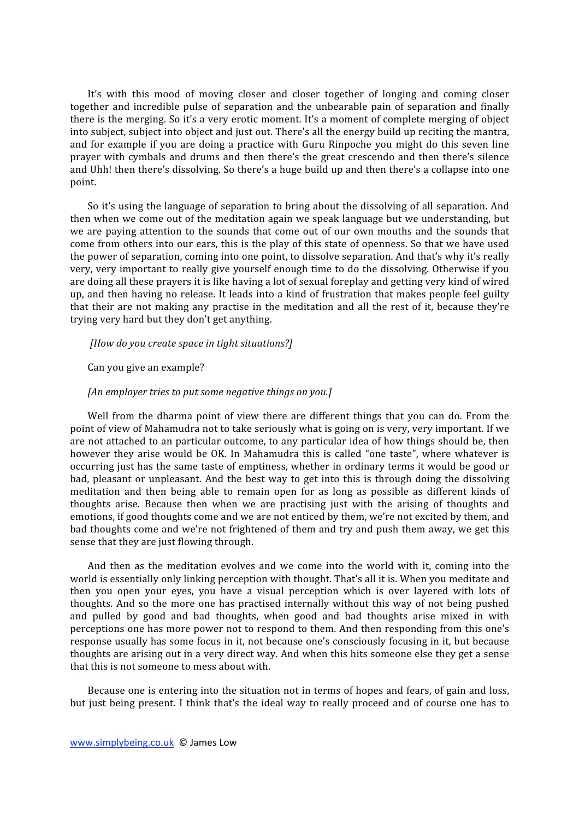It's with this mood of moving closer and closer together of longing and coming closer together and incredible pulse of separation and the unbearable pain of separation and finally there is the merging. So it's a very erotic moment. It's a moment of complete merging of object into subject, subject into object and just out. There's all the energy build up reciting the mantra, and for example if you are doing a practice with Guru Rinpoche you might do this seven line prayer with cymbals and drums and then there's the great crescendo and then there's silence and
Uhh!
then
there's
dissolving.
So
there's
a
huge
build
up
and
then
there's
a
collapse
into
one point.

So it's using the language of separation to bring about the dissolving of all separation. And then
when
we
come
out
of
the
meditation
again
we
speak
language
but
we
understanding,
but we are paying attention to the sounds that come out of our own mouths and the sounds that come from others into our ears, this is the play of this state of openness. So that we have used the power of separation, coming into one point, to dissolve separation. And that's why it's really very, very important to really give yourself enough time to do the dissolving. Otherwise if you are
doing
all
these
prayers
it
is
like
having
a
lot
of
sexual
foreplay
and
getting
very
kind
of
wired up, and then having no release. It leads into a kind of frustration that makes people feel guilty that their are not making any practise in the meditation and all the rest of it, because they're trying
very
hard
but
they
don't
get
anything.

## *[How
do
you
create
space
in
tight
situations?]*

#### Can
you
give
an
example?

## *[An
employer
tries
to
put
some
negative
things
on
you.]*

Well from the dharma point of view there are different things that you can do. From the point of view of Mahamudra not to take seriously what is going on is very, very important. If we are not attached to an particular outcome, to any particular idea of how things should be, then however they arise would be OK. In Mahamudra this is called "one taste", where whatever is occurring
just
has
the
same
taste
of
emptiness,
whether
in
ordinary
terms
it
would
be
good
or bad,
 pleasant
 or
 unpleasant.
And
 the
 best
way
 to
get
into
 this
is
 through
 doing
 the
 dissolving meditation and then being able to remain open for as long as possible as different kinds of thoughts arise. Because then when we are practising just with the arising of thoughts and emotions, if good thoughts come and we are not enticed by them, we're not excited by them, and bad thoughts come and we're not frightened of them and try and push them away, we get this sense that they are just flowing through.

And then as the meditation evolves and we come into the world with it, coming into the world is essentially only linking perception with thought. That's all it is. When you meditate and then you open your eyes, you have a visual perception which is over layered with lots of thoughts. And so the more one has practised internally without this way of not being pushed and pulled by good and bad thoughts, when good and bad thoughts arise mixed in with perceptions
one
has
more
power
not
to
respond
to
them.
And
then
responding
from
this
one's response usually has some focus in it, not because one's consciously focusing in it, but because thoughts are arising out in a very direct way. And when this hits someone else they get a sense that
this
is
not
someone
to
mess
about
with.

Because one is entering into the situation not in terms of hopes and fears, of gain and loss, but just being present. I think that's the ideal way to really proceed and of course one has to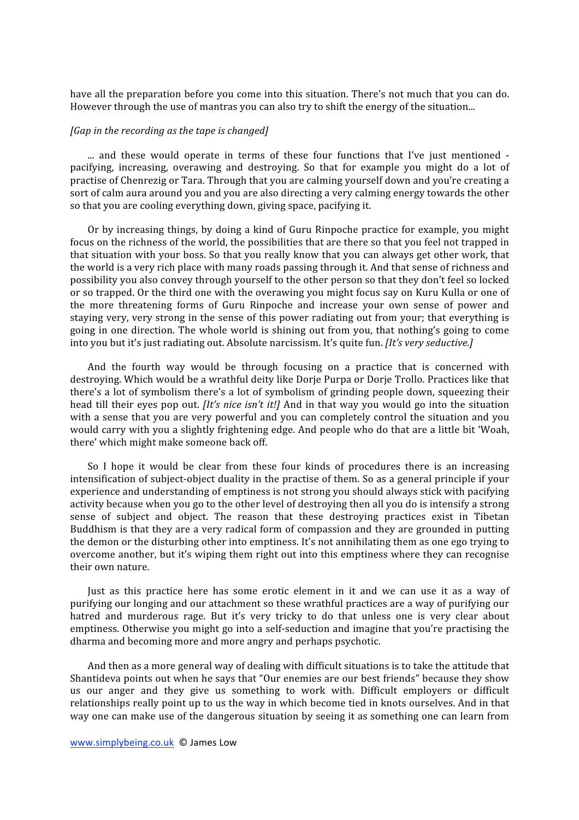have all the preparation before you come into this situation. There's not much that you can do. However through the use of mantras you can also try to shift the energy of the situation...

#### *[Gap
in
the
recording
as
the
tape
is
changed]*

... and these would operate in terms of these four functions that I've just mentioned pacifying, increasing, overawing and destroying. So that for example you might do a lot of practise
of
Chenrezig
or
Tara.
Through
that
you
are
calming
yourself
down
and
you're
creating
a sort of calm aura around you and you are also directing a very calming energy towards the other so
that
you
are
cooling
everything
down,
giving
space,
pacifying
it.

Or by increasing things, by doing a kind of Guru Rinpoche practice for example, you might focus on the richness of the world, the possibilities that are there so that you feel not trapped in that situation with your boss. So that you really know that you can always get other work, that the world is a very rich place with many roads passing through it. And that sense of richness and possibility you also convey through yourself to the other person so that they don't feel so locked or so trapped. Or the third one with the overawing you might focus say on Kuru Kulla or one of the more threatening forms of Guru Rinpoche and increase your own sense of power and staying very, very strong in the sense of this power radiating out from your; that everything is going in one direction. The whole world is shining out from you, that nothing's going to come into you but it's just radiating out. Absolute narcissism. It's quite fun. *[It's very seductive.]* 

And the fourth way would be through focusing on a practice that is concerned with destroving. Which would be a wrathful deity like Dorie Purpa or Dorie Trollo. Practices like that there's a lot of symbolism there's a lot of symbolism of grinding people down, squeezing their head till their eyes pop out. *[It's nice isn't it!]* And in that way you would go into the situation with a sense that you are very powerful and you can completely control the situation and you would carry with you a slightly frightening edge. And people who do that are a little bit 'Woah, there'
which
might
make
someone
back
off.

So I hope it would be clear from these four kinds of procedures there is an increasing intensification of subject-object duality in the practise of them. So as a general principle if your experience
and
understanding
of
emptiness
is
not
strong
you
should
always
stick
with
pacifying activity because when you go to the other level of destroying then all you do is intensify a strong sense of subject and object. The reason that these destroying practices exist in Tibetan Buddhism is that they are a very radical form of compassion and they are grounded in putting the demon or the disturbing other into emptiness. It's not annihilating them as one ego trying to overcome another, but it's wiping them right out into this emptiness where they can recognise their
own
nature.

Just as this practice here has some erotic element in it and we can use it as a way of purifying our longing and our attachment so these wrathful practices are a way of purifying our hatred and murderous rage. But it's very tricky to do that unless one is very clear about emptiness. Otherwise you might go into a self-seduction and imagine that you're practising the dharma
and
becoming
more
and
more
angry
and
perhaps
psychotic.

And then as a more general way of dealing with difficult situations is to take the attitude that Shantideva
points
out
when
he
says
that
"Our
enemies
are
our
best
friends"
because
they
show us our anger and they give us something to work with. Difficult employers or difficult relationships really point up to us the way in which become tied in knots ourselves. And in that way one can make use of the dangerous situation by seeing it as something one can learn from